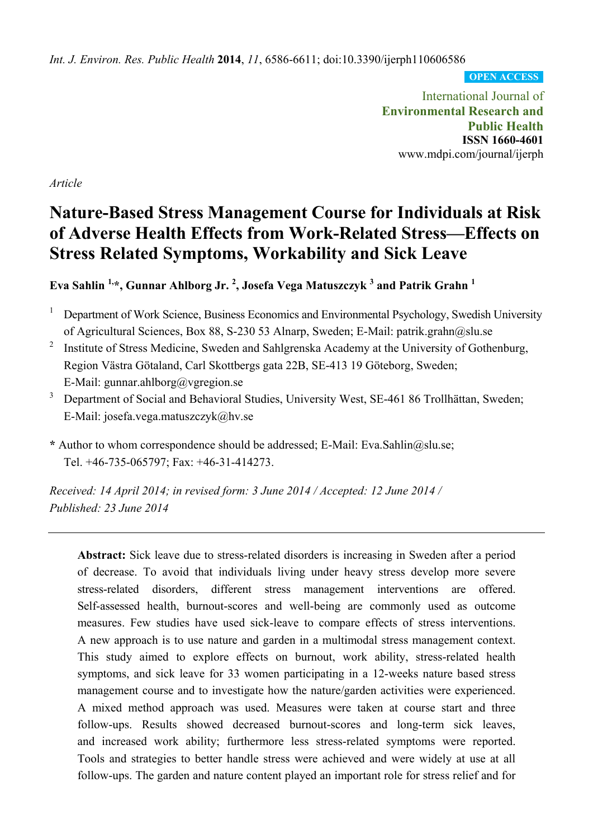*Int. J. Environ. Res. Public Health* **2014**, *11*, 6586-6611; doi:10.3390/ijerph110606586

**OPEN ACCESS**

International Journal of **Environmental Research and Public Health ISSN 1660-4601**  www.mdpi.com/journal/ijerph

*Article* 

# **Nature-Based Stress Management Course for Individuals at Risk of Adverse Health Effects from Work-Related Stress—Effects on Stress Related Symptoms, Workability and Sick Leave**

**Eva Sahlin 1,\*, Gunnar Ahlborg Jr. 2 , Josefa Vega Matuszczyk <sup>3</sup> and Patrik Grahn <sup>1</sup>**

1 Department of Work Science, Business Economics and Environmental Psychology, Swedish University of Agricultural Sciences, Box 88, S-230 53 Alnarp, Sweden; E-Mail: patrik.grahn@slu.se

- 2 Institute of Stress Medicine, Sweden and Sahlgrenska Academy at the University of Gothenburg, Region Västra Götaland, Carl Skottbergs gata 22B, SE-413 19 Göteborg, Sweden; E-Mail: gunnar.ahlborg@vgregion.se
- 3 Department of Social and Behavioral Studies, University West, SE-461 86 Trollhättan, Sweden; E-Mail: josefa.vega.matuszczyk@hv.se

**\*** Author to whom correspondence should be addressed; E-Mail: Eva.Sahlin@slu.se; Tel. +46-735-065797; Fax: +46-31-414273.

*Received: 14 April 2014; in revised form: 3 June 2014 / Accepted: 12 June 2014 / Published: 23 June 2014* 

**Abstract:** Sick leave due to stress-related disorders is increasing in Sweden after a period of decrease. To avoid that individuals living under heavy stress develop more severe stress-related disorders, different stress management interventions are offered. Self-assessed health, burnout-scores and well-being are commonly used as outcome measures. Few studies have used sick-leave to compare effects of stress interventions. A new approach is to use nature and garden in a multimodal stress management context. This study aimed to explore effects on burnout, work ability, stress-related health symptoms, and sick leave for 33 women participating in a 12-weeks nature based stress management course and to investigate how the nature/garden activities were experienced. A mixed method approach was used. Measures were taken at course start and three follow-ups. Results showed decreased burnout-scores and long-term sick leaves, and increased work ability; furthermore less stress-related symptoms were reported. Tools and strategies to better handle stress were achieved and were widely at use at all follow-ups. The garden and nature content played an important role for stress relief and for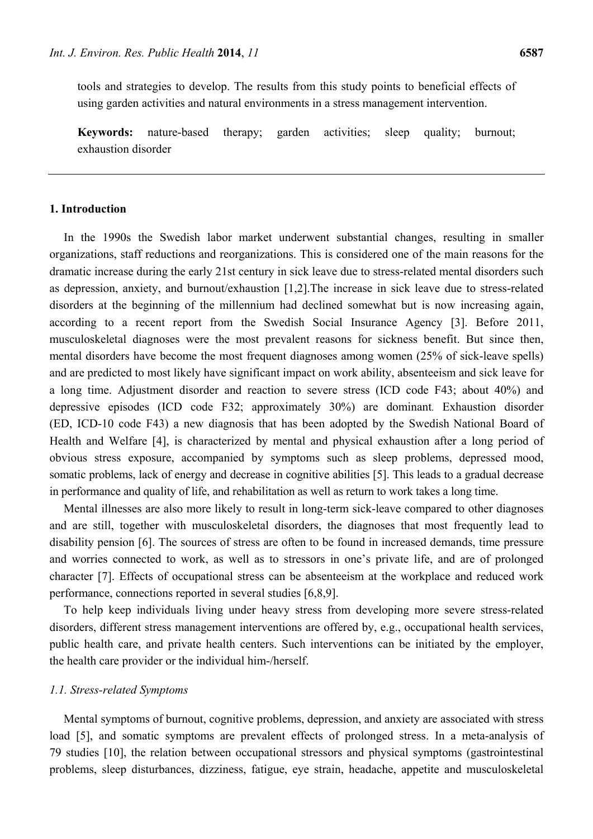using garden activities and natural environments in a stress management intervention.

**Keywords:** nature-based therapy; garden activities; sleep quality; burnout; exhaustion disorder

# **1. Introduction**

In the 1990s the Swedish labor market underwent substantial changes, resulting in smaller organizations, staff reductions and reorganizations. This is considered one of the main reasons for the dramatic increase during the early 21st century in sick leave due to stress-related mental disorders such as depression, anxiety, and burnout/exhaustion [1,2].The increase in sick leave due to stress-related disorders at the beginning of the millennium had declined somewhat but is now increasing again, according to a recent report from the Swedish Social Insurance Agency [3]. Before 2011, musculoskeletal diagnoses were the most prevalent reasons for sickness benefit. But since then, mental disorders have become the most frequent diagnoses among women (25% of sick-leave spells) and are predicted to most likely have significant impact on work ability, absenteeism and sick leave for a long time. Adjustment disorder and reaction to severe stress (ICD code F43; about 40%) and depressive episodes (ICD code F32; approximately 30%) are dominant. Exhaustion disorder (ED, ICD-10 code F43) a new diagnosis that has been adopted by the Swedish National Board of Health and Welfare [4], is characterized by mental and physical exhaustion after a long period of obvious stress exposure, accompanied by symptoms such as sleep problems, depressed mood, somatic problems, lack of energy and decrease in cognitive abilities [5]. This leads to a gradual decrease in performance and quality of life, and rehabilitation as well as return to work takes a long time.

Mental illnesses are also more likely to result in long-term sick-leave compared to other diagnoses and are still, together with musculoskeletal disorders, the diagnoses that most frequently lead to disability pension [6]. The sources of stress are often to be found in increased demands, time pressure and worries connected to work, as well as to stressors in one's private life, and are of prolonged character [7]. Effects of occupational stress can be absenteeism at the workplace and reduced work performance, connections reported in several studies [6,8,9].

To help keep individuals living under heavy stress from developing more severe stress-related disorders, different stress management interventions are offered by, e.g., occupational health services, public health care, and private health centers. Such interventions can be initiated by the employer, the health care provider or the individual him-/herself.

## *1.1. Stress-related Symptoms*

Mental symptoms of burnout, cognitive problems, depression, and anxiety are associated with stress load [5], and somatic symptoms are prevalent effects of prolonged stress. In a meta-analysis of 79 studies [10], the relation between occupational stressors and physical symptoms (gastrointestinal problems, sleep disturbances, dizziness, fatigue, eye strain, headache, appetite and musculoskeletal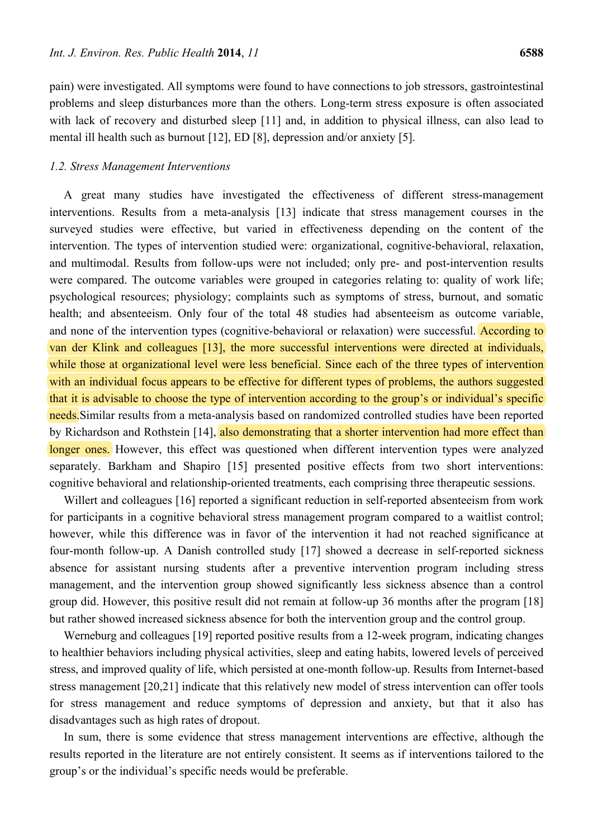pain) were investigated. All symptoms were found to have connections to job stressors, gastrointestinal problems and sleep disturbances more than the others. Long-term stress exposure is often associated with lack of recovery and disturbed sleep [11] and, in addition to physical illness, can also lead to mental ill health such as burnout [12], ED [8], depression and/or anxiety [5].

#### *1.2. Stress Management Interventions*

A great many studies have investigated the effectiveness of different stress-management interventions. Results from a meta-analysis [13] indicate that stress management courses in the surveyed studies were effective, but varied in effectiveness depending on the content of the intervention. The types of intervention studied were: organizational, cognitive-behavioral, relaxation, and multimodal. Results from follow-ups were not included; only pre- and post-intervention results were compared. The outcome variables were grouped in categories relating to: quality of work life; psychological resources; physiology; complaints such as symptoms of stress, burnout, and somatic health; and absenteeism. Only four of the total 48 studies had absenteeism as outcome variable, and none of the intervention types (cognitive-behavioral or relaxation) were successful. According to van der Klink and colleagues [13], the more successful interventions were directed at individuals, while those at organizational level were less beneficial. Since each of the three types of intervention with an individual focus appears to be effective for different types of problems, the authors suggested that it is advisable to choose the type of intervention according to the group's or individual's specific needs.Similar results from a meta-analysis based on randomized controlled studies have been reported by Richardson and Rothstein [14], also demonstrating that a shorter intervention had more effect than longer ones. However, this effect was questioned when different intervention types were analyzed separately. Barkham and Shapiro [15] presented positive effects from two short interventions: cognitive behavioral and relationship-oriented treatments, each comprising three therapeutic sessions.

Willert and colleagues [16] reported a significant reduction in self-reported absenteeism from work for participants in a cognitive behavioral stress management program compared to a waitlist control; however, while this difference was in favor of the intervention it had not reached significance at four-month follow-up. A Danish controlled study [17] showed a decrease in self-reported sickness absence for assistant nursing students after a preventive intervention program including stress management, and the intervention group showed significantly less sickness absence than a control group did. However, this positive result did not remain at follow-up 36 months after the program [18] but rather showed increased sickness absence for both the intervention group and the control group.

Werneburg and colleagues [19] reported positive results from a 12-week program, indicating changes to healthier behaviors including physical activities, sleep and eating habits, lowered levels of perceived stress, and improved quality of life, which persisted at one-month follow-up. Results from Internet-based stress management [20,21] indicate that this relatively new model of stress intervention can offer tools for stress management and reduce symptoms of depression and anxiety, but that it also has disadvantages such as high rates of dropout.

In sum, there is some evidence that stress management interventions are effective, although the results reported in the literature are not entirely consistent. It seems as if interventions tailored to the group's or the individual's specific needs would be preferable.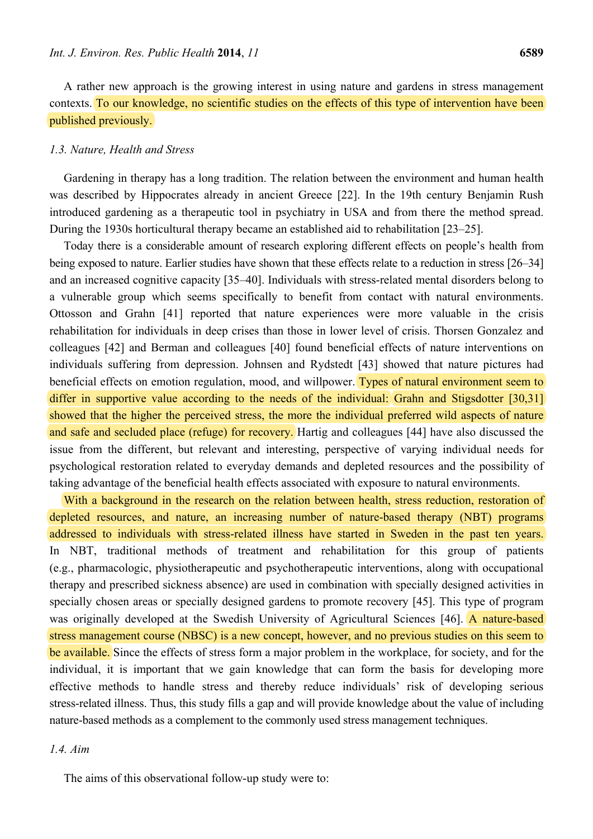A rather new approach is the growing interest in using nature and gardens in stress management contexts. To our knowledge, no scientific studies on the effects of this type of intervention have been published previously.

# *1.3. Nature, Health and Stress*

Gardening in therapy has a long tradition. The relation between the environment and human health was described by Hippocrates already in ancient Greece [22]. In the 19th century Benjamin Rush introduced gardening as a therapeutic tool in psychiatry in USA and from there the method spread. During the 1930s horticultural therapy became an established aid to rehabilitation [23–25].

Today there is a considerable amount of research exploring different effects on people's health from being exposed to nature. Earlier studies have shown that these effects relate to a reduction in stress [26–34] and an increased cognitive capacity [35–40]. Individuals with stress-related mental disorders belong to a vulnerable group which seems specifically to benefit from contact with natural environments. Ottosson and Grahn [41] reported that nature experiences were more valuable in the crisis rehabilitation for individuals in deep crises than those in lower level of crisis. Thorsen Gonzalez and colleagues [42] and Berman and colleagues [40] found beneficial effects of nature interventions on individuals suffering from depression. Johnsen and Rydstedt [43] showed that nature pictures had beneficial effects on emotion regulation, mood, and willpower. Types of natural environment seem to differ in supportive value according to the needs of the individual: Grahn and Stigsdotter [30,31] showed that the higher the perceived stress, the more the individual preferred wild aspects of nature and safe and secluded place (refuge) for recovery. Hartig and colleagues [44] have also discussed the issue from the different, but relevant and interesting, perspective of varying individual needs for psychological restoration related to everyday demands and depleted resources and the possibility of taking advantage of the beneficial health effects associated with exposure to natural environments.

With a background in the research on the relation between health, stress reduction, restoration of depleted resources, and nature, an increasing number of nature-based therapy (NBT) programs addressed to individuals with stress-related illness have started in Sweden in the past ten years. In NBT, traditional methods of treatment and rehabilitation for this group of patients (e.g., pharmacologic, physiotherapeutic and psychotherapeutic interventions, along with occupational therapy and prescribed sickness absence) are used in combination with specially designed activities in specially chosen areas or specially designed gardens to promote recovery [45]. This type of program was originally developed at the Swedish University of Agricultural Sciences [46]. A nature-based stress management course (NBSC) is a new concept, however, and no previous studies on this seem to be available. Since the effects of stress form a major problem in the workplace, for society, and for the individual, it is important that we gain knowledge that can form the basis for developing more effective methods to handle stress and thereby reduce individuals' risk of developing serious stress-related illness. Thus, this study fills a gap and will provide knowledge about the value of including nature-based methods as a complement to the commonly used stress management techniques.

# *1.4. Aim*

The aims of this observational follow-up study were to: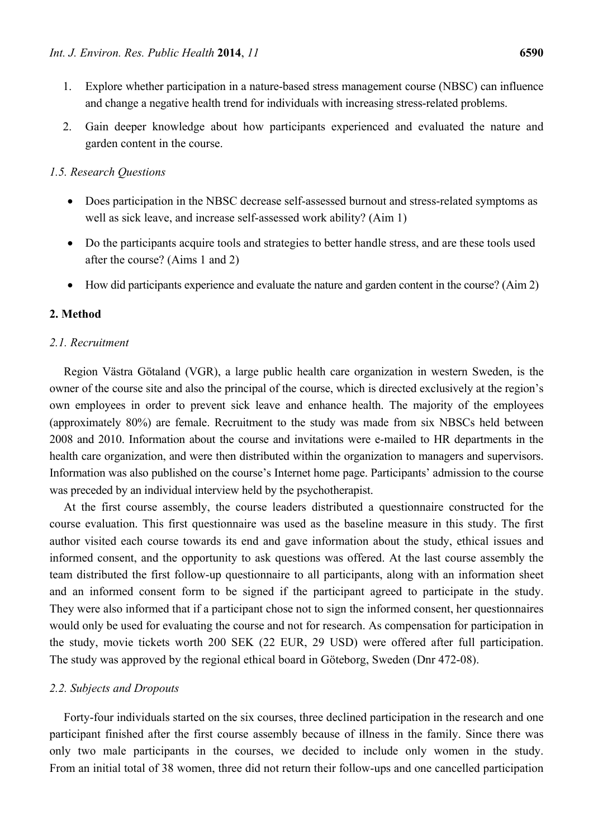- 1. Explore whether participation in a nature-based stress management course (NBSC) can influence and change a negative health trend for individuals with increasing stress-related problems.
- 2. Gain deeper knowledge about how participants experienced and evaluated the nature and garden content in the course.

## *1.5. Research Questions*

- Does participation in the NBSC decrease self-assessed burnout and stress-related symptoms as well as sick leave, and increase self-assessed work ability? (Aim 1)
- Do the participants acquire tools and strategies to better handle stress, and are these tools used after the course? (Aims 1 and 2)
- How did participants experience and evaluate the nature and garden content in the course? (Aim 2)

# **2. Method**

## *2.1. Recruitment*

Region Västra Götaland (VGR), a large public health care organization in western Sweden, is the owner of the course site and also the principal of the course, which is directed exclusively at the region's own employees in order to prevent sick leave and enhance health. The majority of the employees (approximately 80%) are female. Recruitment to the study was made from six NBSCs held between 2008 and 2010. Information about the course and invitations were e-mailed to HR departments in the health care organization, and were then distributed within the organization to managers and supervisors. Information was also published on the course's Internet home page. Participants' admission to the course was preceded by an individual interview held by the psychotherapist.

At the first course assembly, the course leaders distributed a questionnaire constructed for the course evaluation. This first questionnaire was used as the baseline measure in this study. The first author visited each course towards its end and gave information about the study, ethical issues and informed consent, and the opportunity to ask questions was offered. At the last course assembly the team distributed the first follow-up questionnaire to all participants, along with an information sheet and an informed consent form to be signed if the participant agreed to participate in the study. They were also informed that if a participant chose not to sign the informed consent, her questionnaires would only be used for evaluating the course and not for research. As compensation for participation in the study, movie tickets worth 200 SEK (22 EUR, 29 USD) were offered after full participation. The study was approved by the regional ethical board in Göteborg, Sweden (Dnr 472-08).

## *2.2. Subjects and Dropouts*

Forty-four individuals started on the six courses, three declined participation in the research and one participant finished after the first course assembly because of illness in the family. Since there was only two male participants in the courses, we decided to include only women in the study. From an initial total of 38 women, three did not return their follow-ups and one cancelled participation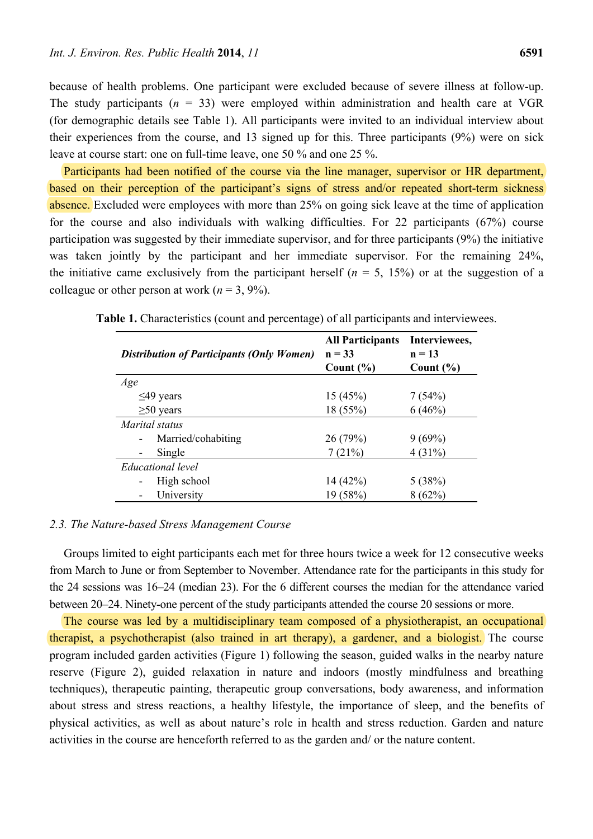because of health problems. One participant were excluded because of severe illness at follow-up. The study participants  $(n = 33)$  were employed within administration and health care at VGR (for demographic details see Table 1). All participants were invited to an individual interview about their experiences from the course, and 13 signed up for this. Three participants (9%) were on sick leave at course start: one on full-time leave, one 50 % and one 25 %.

Participants had been notified of the course via the line manager, supervisor or HR department, based on their perception of the participant's signs of stress and/or repeated short-term sickness absence. Excluded were employees with more than 25% on going sick leave at the time of application for the course and also individuals with walking difficulties. For 22 participants (67%) course participation was suggested by their immediate supervisor, and for three participants (9%) the initiative was taken jointly by the participant and her immediate supervisor. For the remaining 24%, the initiative came exclusively from the participant herself  $(n = 5, 15\%)$  or at the suggestion of a colleague or other person at work  $(n = 3, 9\%)$ .

| <b>Distribution of Participants (Only Women)</b> | <b>All Participants</b><br>$n = 33$<br>Count $(\% )$ | Interviewees,<br>$n = 13$<br>Count $(\% )$ |
|--------------------------------------------------|------------------------------------------------------|--------------------------------------------|
| Age                                              |                                                      |                                            |
| $\leq$ 49 years                                  | 15(45%)                                              | 7(54%)                                     |
| $\geq 50$ years                                  | 18 (55%)                                             | 6(46%)                                     |
| Marital status                                   |                                                      |                                            |
| Married/cohabiting                               | 26(79%)                                              | 9(69%)                                     |
| Single                                           | 7(21%)                                               | 4(31%)                                     |
| Educational level                                |                                                      |                                            |
| High school                                      | 14(42%)                                              | 5(38%)                                     |
| University                                       | 19 (58%)                                             | 8(62%)                                     |

**Table 1.** Characteristics (count and percentage) of all participants and interviewees.

## *2.3. The Nature-based Stress Management Course*

Groups limited to eight participants each met for three hours twice a week for 12 consecutive weeks from March to June or from September to November. Attendance rate for the participants in this study for the 24 sessions was 16–24 (median 23). For the 6 different courses the median for the attendance varied between 20–24. Ninety-one percent of the study participants attended the course 20 sessions or more.

The course was led by a multidisciplinary team composed of a physiotherapist, an occupational therapist, a psychotherapist (also trained in art therapy), a gardener, and a biologist. The course program included garden activities (Figure 1) following the season, guided walks in the nearby nature reserve (Figure 2), guided relaxation in nature and indoors (mostly mindfulness and breathing techniques), therapeutic painting, therapeutic group conversations, body awareness, and information about stress and stress reactions, a healthy lifestyle, the importance of sleep, and the benefits of physical activities, as well as about nature's role in health and stress reduction. Garden and nature activities in the course are henceforth referred to as the garden and/ or the nature content.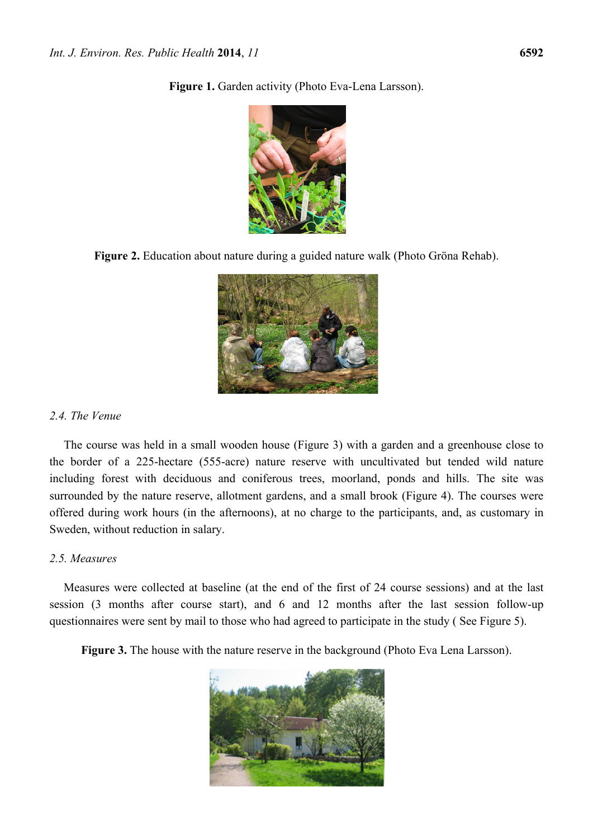

**Figure 1.** Garden activity (Photo Eva-Lena Larsson).

**Figure 2.** Education about nature during a guided nature walk (Photo Gröna Rehab).



# *2.4. The Venue*

The course was held in a small wooden house (Figure 3) with a garden and a greenhouse close to the border of a 225-hectare (555-acre) nature reserve with uncultivated but tended wild nature including forest with deciduous and coniferous trees, moorland, ponds and hills. The site was surrounded by the nature reserve, allotment gardens, and a small brook (Figure 4). The courses were offered during work hours (in the afternoons), at no charge to the participants, and, as customary in Sweden, without reduction in salary.

## *2.5. Measures*

Measures were collected at baseline (at the end of the first of 24 course sessions) and at the last session (3 months after course start), and 6 and 12 months after the last session follow-up questionnaires were sent by mail to those who had agreed to participate in the study ( See Figure 5).

**Figure 3.** The house with the nature reserve in the background (Photo Eva Lena Larsson).

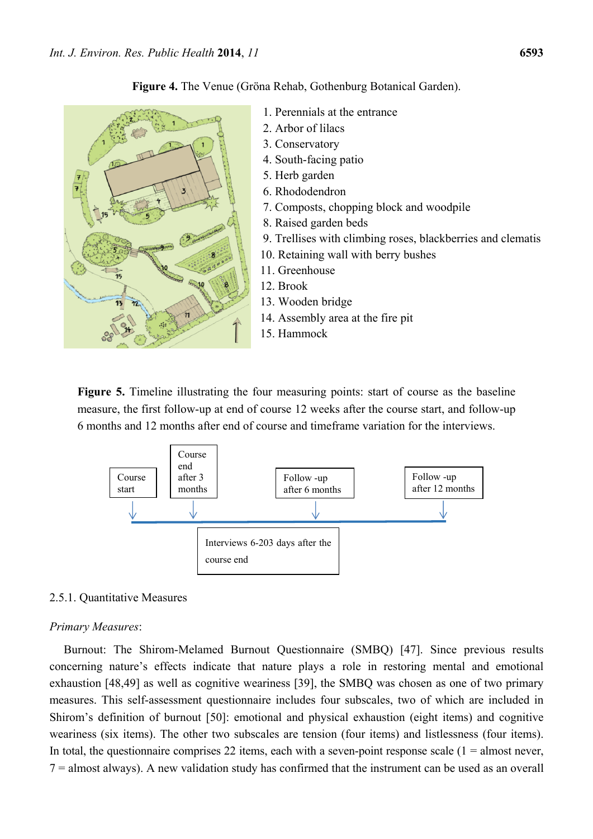

**Figure 5.** Timeline illustrating the four measuring points: start of course as the baseline measure, the first follow-up at end of course 12 weeks after the course start, and follow-up 6 months and 12 months after end of course and timeframe variation for the interviews.



# 2.5.1. Quantitative Measures

## *Primary Measures*:

Burnout: The Shirom-Melamed Burnout Questionnaire (SMBQ) [47]. Since previous results concerning nature's effects indicate that nature plays a role in restoring mental and emotional exhaustion [48,49] as well as cognitive weariness [39], the SMBQ was chosen as one of two primary measures. This self-assessment questionnaire includes four subscales, two of which are included in Shirom's definition of burnout [50]: emotional and physical exhaustion (eight items) and cognitive weariness (six items). The other two subscales are tension (four items) and listlessness (four items). In total, the questionnaire comprises 22 items, each with a seven-point response scale  $(1 =$  almost never, 7 = almost always). A new validation study has confirmed that the instrument can be used as an overall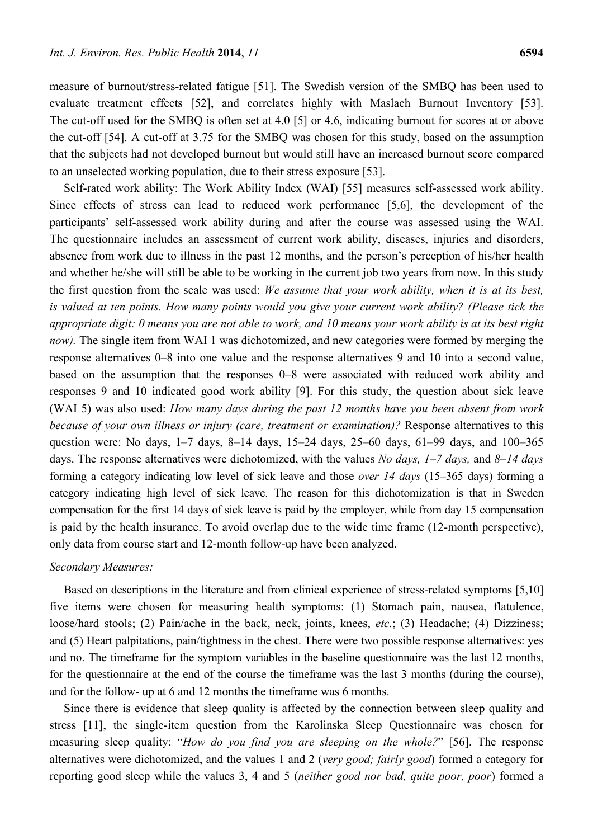measure of burnout/stress-related fatigue [51]. The Swedish version of the SMBQ has been used to evaluate treatment effects [52], and correlates highly with Maslach Burnout Inventory [53]. The cut-off used for the SMBQ is often set at 4.0 [5] or 4.6, indicating burnout for scores at or above the cut-off [54]. A cut-off at 3.75 for the SMBQ was chosen for this study, based on the assumption that the subjects had not developed burnout but would still have an increased burnout score compared to an unselected working population, due to their stress exposure [53].

Self-rated work ability: The Work Ability Index (WAI) [55] measures self-assessed work ability. Since effects of stress can lead to reduced work performance [5,6], the development of the participants' self-assessed work ability during and after the course was assessed using the WAI. The questionnaire includes an assessment of current work ability, diseases, injuries and disorders, absence from work due to illness in the past 12 months, and the person's perception of his/her health and whether he/she will still be able to be working in the current job two years from now. In this study the first question from the scale was used: *We assume that your work ability, when it is at its best, is valued at ten points. How many points would you give your current work ability? (Please tick the appropriate digit: 0 means you are not able to work, and 10 means your work ability is at its best right now).* The single item from WAI 1 was dichotomized, and new categories were formed by merging the response alternatives 0–8 into one value and the response alternatives 9 and 10 into a second value, based on the assumption that the responses 0–8 were associated with reduced work ability and responses 9 and 10 indicated good work ability [9]. For this study, the question about sick leave (WAI 5) was also used: *How many days during the past 12 months have you been absent from work because of your own illness or injury (care, treatment or examination)?* Response alternatives to this question were: No days, 1–7 days, 8–14 days, 15–24 days, 25–60 days, 61–99 days, and 100–365 days. The response alternatives were dichotomized, with the values *No days, 1–7 days,* and *8–14 days* forming a category indicating low level of sick leave and those *over 14 days* (15–365 days) forming a category indicating high level of sick leave. The reason for this dichotomization is that in Sweden compensation for the first 14 days of sick leave is paid by the employer, while from day 15 compensation is paid by the health insurance. To avoid overlap due to the wide time frame (12-month perspective), only data from course start and 12-month follow-up have been analyzed.

## *Secondary Measures:*

Based on descriptions in the literature and from clinical experience of stress-related symptoms [5,10] five items were chosen for measuring health symptoms: (1) Stomach pain, nausea, flatulence, loose/hard stools; (2) Pain/ache in the back, neck, joints, knees, *etc.*; (3) Headache; (4) Dizziness; and (5) Heart palpitations, pain/tightness in the chest. There were two possible response alternatives: yes and no. The timeframe for the symptom variables in the baseline questionnaire was the last 12 months, for the questionnaire at the end of the course the timeframe was the last 3 months (during the course), and for the follow- up at 6 and 12 months the timeframe was 6 months.

Since there is evidence that sleep quality is affected by the connection between sleep quality and stress [11], the single-item question from the Karolinska Sleep Questionnaire was chosen for measuring sleep quality: "*How do you find you are sleeping on the whole?*" [56]. The response alternatives were dichotomized, and the values 1 and 2 (*very good; fairly good*) formed a category for reporting good sleep while the values 3, 4 and 5 (*neither good nor bad, quite poor, poor*) formed a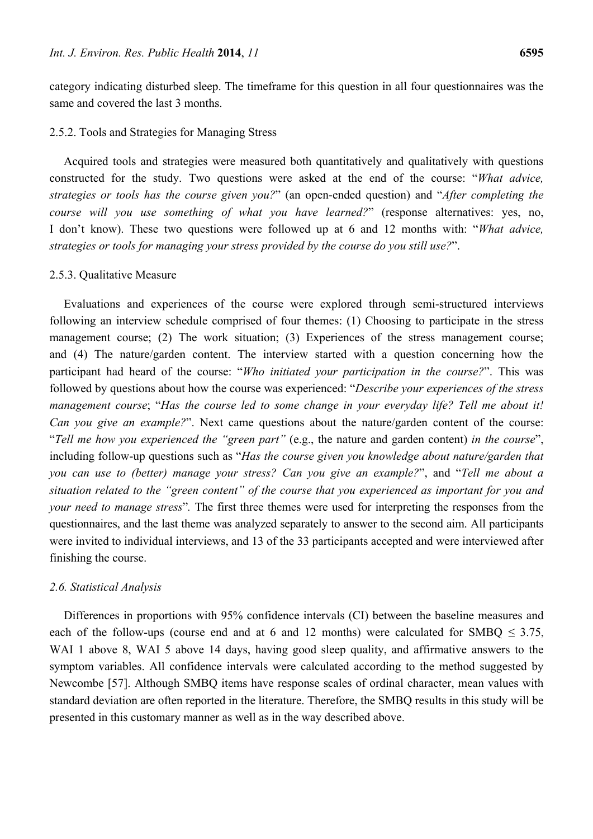category indicating disturbed sleep. The timeframe for this question in all four questionnaires was the same and covered the last 3 months.

## 2.5.2. Tools and Strategies for Managing Stress

Acquired tools and strategies were measured both quantitatively and qualitatively with questions constructed for the study. Two questions were asked at the end of the course: "*What advice, strategies or tools has the course given you?*" (an open-ended question) and "*After completing the course will you use something of what you have learned?*" (response alternatives: yes, no, I don't know). These two questions were followed up at 6 and 12 months with: "*What advice, strategies or tools for managing your stress provided by the course do you still use?*".

## 2.5.3. Qualitative Measure

Evaluations and experiences of the course were explored through semi-structured interviews following an interview schedule comprised of four themes: (1) Choosing to participate in the stress management course; (2) The work situation; (3) Experiences of the stress management course; and (4) The nature/garden content. The interview started with a question concerning how the participant had heard of the course: "*Who initiated your participation in the course?*". This was followed by questions about how the course was experienced: "*Describe your experiences of the stress management course*; "*Has the course led to some change in your everyday life? Tell me about it! Can you give an example?*". Next came questions about the nature/garden content of the course: "*Tell me how you experienced the "green part"* (e.g., the nature and garden content) *in the course*", including follow-up questions such as "*Has the course given you knowledge about nature/garden that you can use to (better) manage your stress? Can you give an example?*", and "*Tell me about a situation related to the "green content" of the course that you experienced as important for you and your need to manage stress*"*.* The first three themes were used for interpreting the responses from the questionnaires, and the last theme was analyzed separately to answer to the second aim. All participants were invited to individual interviews, and 13 of the 33 participants accepted and were interviewed after finishing the course.

#### *2.6. Statistical Analysis*

Differences in proportions with 95% confidence intervals (CI) between the baseline measures and each of the follow-ups (course end and at 6 and 12 months) were calculated for SMBQ  $\leq$  3.75, WAI 1 above 8, WAI 5 above 14 days, having good sleep quality, and affirmative answers to the symptom variables. All confidence intervals were calculated according to the method suggested by Newcombe [57]. Although SMBQ items have response scales of ordinal character, mean values with standard deviation are often reported in the literature. Therefore, the SMBQ results in this study will be presented in this customary manner as well as in the way described above.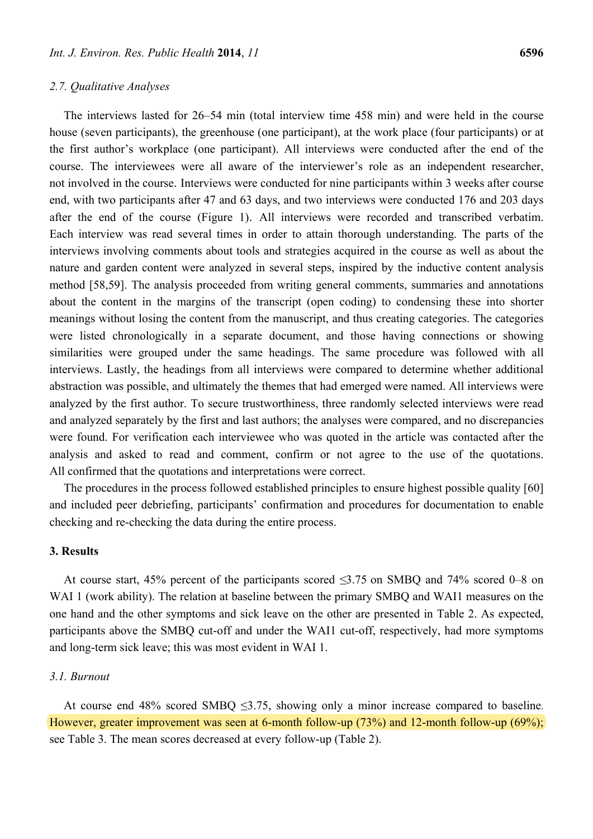## *2.7. Qualitative Analyses*

The interviews lasted for 26–54 min (total interview time 458 min) and were held in the course house (seven participants), the greenhouse (one participant), at the work place (four participants) or at the first author's workplace (one participant). All interviews were conducted after the end of the course. The interviewees were all aware of the interviewer's role as an independent researcher, not involved in the course. Interviews were conducted for nine participants within 3 weeks after course end, with two participants after 47 and 63 days, and two interviews were conducted 176 and 203 days after the end of the course (Figure 1). All interviews were recorded and transcribed verbatim. Each interview was read several times in order to attain thorough understanding. The parts of the interviews involving comments about tools and strategies acquired in the course as well as about the nature and garden content were analyzed in several steps, inspired by the inductive content analysis method [58,59]. The analysis proceeded from writing general comments, summaries and annotations about the content in the margins of the transcript (open coding) to condensing these into shorter meanings without losing the content from the manuscript, and thus creating categories. The categories were listed chronologically in a separate document, and those having connections or showing similarities were grouped under the same headings. The same procedure was followed with all interviews. Lastly, the headings from all interviews were compared to determine whether additional abstraction was possible, and ultimately the themes that had emerged were named. All interviews were analyzed by the first author. To secure trustworthiness, three randomly selected interviews were read and analyzed separately by the first and last authors; the analyses were compared, and no discrepancies were found. For verification each interviewee who was quoted in the article was contacted after the analysis and asked to read and comment, confirm or not agree to the use of the quotations. All confirmed that the quotations and interpretations were correct.

The procedures in the process followed established principles to ensure highest possible quality [60] and included peer debriefing, participants' confirmation and procedures for documentation to enable checking and re-checking the data during the entire process.

#### **3. Results**

At course start, 45% percent of the participants scored *≤*3.75 on SMBQ and 74% scored 0–8 on WAI 1 (work ability). The relation at baseline between the primary SMBQ and WAI1 measures on the one hand and the other symptoms and sick leave on the other are presented in Table 2. As expected, participants above the SMBQ cut-off and under the WAI1 cut-off, respectively, had more symptoms and long-term sick leave; this was most evident in WAI 1.

# *3.1. Burnout*

At course end 48% scored SMBQ  $\leq$ 3.75, showing only a minor increase compared to baseline. However, greater improvement was seen at 6-month follow-up (73%) and 12-month follow-up (69%); see Table 3. The mean scores decreased at every follow-up (Table 2).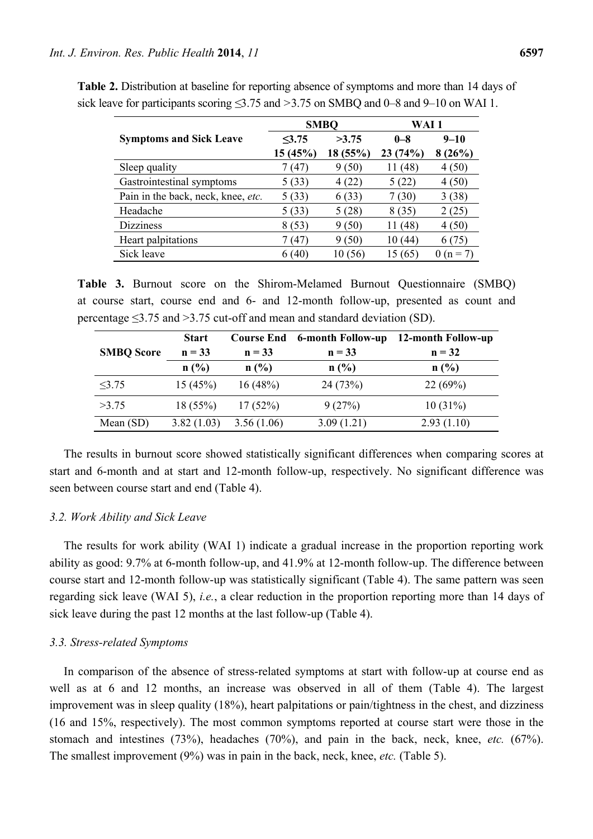|                                    |             | <b>SMBQ</b> | WAI 1   |                |
|------------------------------------|-------------|-------------|---------|----------------|
| <b>Symptoms and Sick Leave</b>     | $\leq$ 3.75 | >3.75       | $0 - 8$ | $9 - 10$       |
|                                    | 15(45%)     | 18(55%)     | 23(74%) | 8(26%)         |
| Sleep quality                      | 7 (47)      | 9(50)       | 11(48)  | 4(50)          |
| Gastrointestinal symptoms          | 5(33)       | 4(22)       | 5(22)   | 4(50)          |
| Pain in the back, neck, knee, etc. | 5(33)       | 6(33)       | 7(30)   | 3(38)          |
| Headache                           | 5(33)       | 5(28)       | 8(35)   | 2(25)          |
| <b>Dizziness</b>                   | 8(53)       | 9(50)       | 11 (48) | 4(50)          |
| Heart palpitations                 | 7 (47)      | 9(50)       | 10(44)  | 6(75)          |
| Sick leave                         | 6(40)       | 10 (56)     | 15 (65) | $(n = 7)$<br>O |

**Table 2.** Distribution at baseline for reporting absence of symptoms and more than 14 days of sick leave for participants scoring *≤*3.75 and *˃*3.75 on SMBQ and 0–8 and 9–10 on WAI 1.

**Table 3.** Burnout score on the Shirom-Melamed Burnout Questionnaire (SMBQ) at course start, course end and 6- and 12-month follow-up, presented as count and percentage  $\leq$ 3.75 and  $\geq$ 3.75 cut-off and mean and standard deviation (SD).

| <b>Start</b>      |            | <b>Course End</b> | <b>6-month Follow-up</b> | 12-month Follow-up |  |
|-------------------|------------|-------------------|--------------------------|--------------------|--|
| <b>SMBQ Score</b> | $n = 33$   | $n = 33$          | $n = 33$                 | $n = 32$           |  |
|                   | n(%)       | n(%)              | n(%)                     | n(%)               |  |
| $\leq$ 3.75       | 15(45%)    | 16(48%)           | 24(73%)                  | 22(69%)            |  |
| >3.75             | 18(55%)    | 17(52%)           | 9(27%)                   | $10(31\%)$         |  |
| Mean $(SD)$       | 3.82(1.03) | 3.56(1.06)        | 3.09(1.21)               | 2.93(1.10)         |  |

The results in burnout score showed statistically significant differences when comparing scores at start and 6-month and at start and 12-month follow-up, respectively. No significant difference was seen between course start and end (Table 4).

## *3.2. Work Ability and Sick Leave*

The results for work ability (WAI 1) indicate a gradual increase in the proportion reporting work ability as good: 9.7% at 6-month follow-up, and 41.9% at 12-month follow-up. The difference between course start and 12-month follow-up was statistically significant (Table 4). The same pattern was seen regarding sick leave (WAI 5), *i.e.*, a clear reduction in the proportion reporting more than 14 days of sick leave during the past 12 months at the last follow-up (Table 4).

# *3.3. Stress-related Symptoms*

In comparison of the absence of stress-related symptoms at start with follow-up at course end as well as at 6 and 12 months, an increase was observed in all of them (Table 4). The largest improvement was in sleep quality (18%), heart palpitations or pain/tightness in the chest, and dizziness (16 and 15%, respectively). The most common symptoms reported at course start were those in the stomach and intestines (73%), headaches (70%), and pain in the back, neck, knee, *etc.* (67%). The smallest improvement (9%) was in pain in the back, neck, knee, *etc.* (Table 5).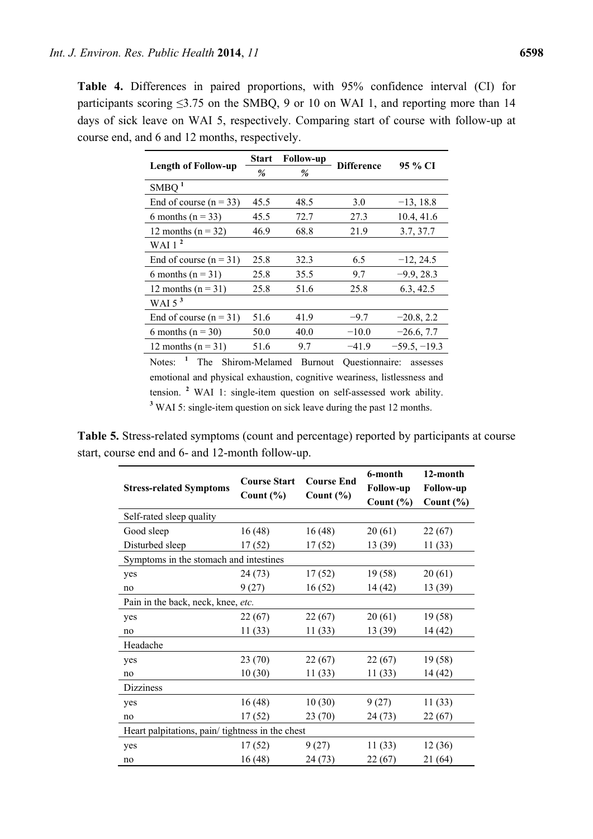**Table 4.** Differences in paired proportions, with 95% confidence interval (CI) for participants scoring  $\leq$ 3.75 on the SMBQ, 9 or 10 on WAI 1, and reporting more than 14 days of sick leave on WAI 5, respectively. Comparing start of course with follow-up at course end, and 6 and 12 months, respectively.

|                            | <b>Start</b> | <b>Follow-up</b><br><b>Difference</b> |         | 95 % CI        |  |
|----------------------------|--------------|---------------------------------------|---------|----------------|--|
| <b>Length of Follow-up</b> | $\%$         | $\%$                                  |         |                |  |
| SMBQ <sup>1</sup>          |              |                                       |         |                |  |
| End of course $(n = 33)$   | 45.5         | 48.5                                  | 3.0     | $-13, 18.8$    |  |
| 6 months ( $n = 33$ )      | 45.5         | 72.7                                  | 27.3    | 10.4, 41.6     |  |
| 12 months ( $n = 32$ )     | 46.9         | 68.8                                  | 21.9    | 3.7, 37.7      |  |
| WAI $12$                   |              |                                       |         |                |  |
| End of course $(n = 31)$   | 25.8         | 32.3                                  | 6.5     | $-12, 24.5$    |  |
| 6 months ( $n = 31$ )      | 25.8         | 35.5                                  | 9.7     | $-9.9, 28.3$   |  |
| 12 months ( $n = 31$ )     | 25.8         | 51.6                                  | 25.8    | 6.3, 42.5      |  |
| WAI $5^3$                  |              |                                       |         |                |  |
| End of course $(n = 31)$   | 51.6         | 41.9                                  | $-9.7$  | $-20.8, 2.2$   |  |
| 6 months ( $n = 30$ )      | 50.0         | 40.0                                  | $-10.0$ | $-26.6, 7.7$   |  |
| 12 months $(n = 31)$       | 51.6         | 9.7                                   | -41.9   | $-59.5, -19.3$ |  |

Notes: <sup>1</sup> The Shirom-Melamed Burnout Questionnaire: assesses emotional and physical exhaustion, cognitive weariness, listlessness and tension. **<sup>2</sup>** WAI 1: single-item question on self-assessed work ability. <sup>3</sup> WAI 5: single-item question on sick leave during the past 12 months.

**Table 5.** Stress-related symptoms (count and percentage) reported by participants at course start, course end and 6- and 12-month follow-up.

| <b>Stress-related Symptoms</b>                  | <b>Course Start</b><br>Count $(\% )$ | <b>Course End</b><br>Count $(\% )$ | 6-month<br><b>Follow-up</b><br>Count $(\% )$ | 12-month<br><b>Follow-up</b><br>Count $(\% )$ |  |
|-------------------------------------------------|--------------------------------------|------------------------------------|----------------------------------------------|-----------------------------------------------|--|
| Self-rated sleep quality                        |                                      |                                    |                                              |                                               |  |
| Good sleep                                      | 16(48)                               | 16(48)                             | 20(61)                                       | 22(67)                                        |  |
| Disturbed sleep                                 | 17(52)                               | 17(52)                             | 13 (39)                                      | 11 (33)                                       |  |
| Symptoms in the stomach and intestines          |                                      |                                    |                                              |                                               |  |
| yes                                             | 24(73)                               | 17(52)                             | 19(58)                                       | 20(61)                                        |  |
| no                                              | 9(27)                                | 16(52)                             | 14 (42)                                      | 13 (39)                                       |  |
| Pain in the back, neck, knee, etc.              |                                      |                                    |                                              |                                               |  |
| yes                                             | 22(67)                               | 22(67)                             | 20(61)                                       | 19(58)                                        |  |
| no                                              | 11(33)                               | 11(33)                             | 13 (39)                                      | 14 (42)                                       |  |
| Headache                                        |                                      |                                    |                                              |                                               |  |
| yes                                             | 23(70)                               | 22(67)                             | 22(67)                                       | 19(58)                                        |  |
| no                                              | 10(30)                               | 11(33)                             | 11(33)                                       | 14 (42)                                       |  |
| Dizziness                                       |                                      |                                    |                                              |                                               |  |
| yes                                             | 16(48)                               | 10(30)                             | 9(27)                                        | 11(33)                                        |  |
| no                                              | 17(52)                               | 23 (70)                            | 24 (73)                                      | 22 (67)                                       |  |
| Heart palpitations, pain/tightness in the chest |                                      |                                    |                                              |                                               |  |
| yes                                             | 17(52)                               | 9(27)                              | 11(33)                                       | 12(36)                                        |  |
| no                                              | 16(48)                               | 24 (73)                            | 22(67)                                       | 21 (64)                                       |  |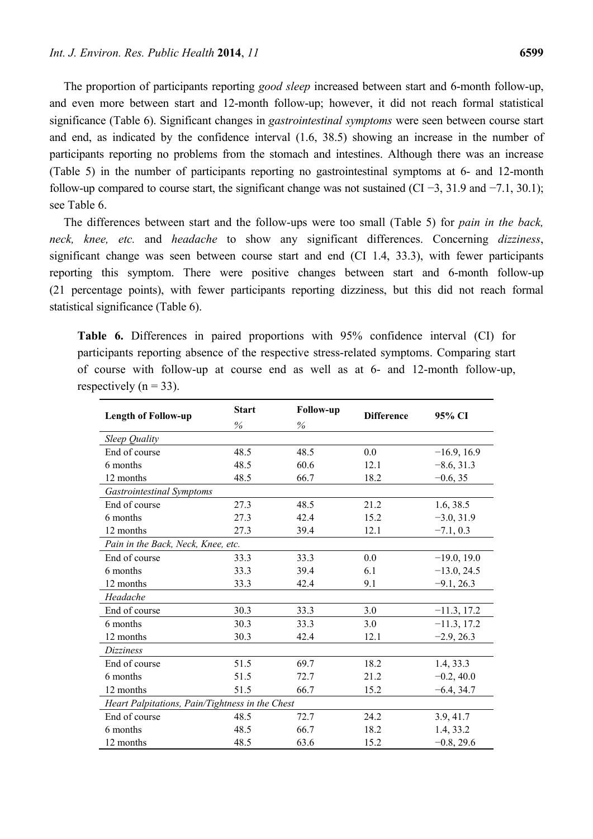The proportion of participants reporting *good sleep* increased between start and 6-month follow-up, and even more between start and 12-month follow-up; however, it did not reach formal statistical significance (Table 6). Significant changes in *gastrointestinal symptoms* were seen between course start and end, as indicated by the confidence interval (1.6, 38.5) showing an increase in the number of participants reporting no problems from the stomach and intestines. Although there was an increase (Table 5) in the number of participants reporting no gastrointestinal symptoms at 6- and 12-month follow-up compared to course start, the significant change was not sustained (CI –3, 31.9 and –7.1, 30.1); see Table 6.

The differences between start and the follow-ups were too small (Table 5) for *pain in the back, neck, knee, etc.* and *headache* to show any significant differences. Concerning *dizziness*, significant change was seen between course start and end (CI 1.4, 33.3), with fewer participants reporting this symptom. There were positive changes between start and 6-month follow-up (21 percentage points), with fewer participants reporting dizziness, but this did not reach formal statistical significance (Table 6).

**Table 6.** Differences in paired proportions with 95% confidence interval (CI) for participants reporting absence of the respective stress-related symptoms. Comparing start of course with follow-up at course end as well as at 6- and 12-month follow-up, respectively ( $n = 33$ ).

| <b>Length of Follow-up</b>                      | <b>Start</b> | <b>Follow-up</b> | <b>Difference</b> | 95% CI        |  |
|-------------------------------------------------|--------------|------------------|-------------------|---------------|--|
|                                                 | $\%$         | $\%$             |                   |               |  |
| Sleep Quality                                   |              |                  |                   |               |  |
| End of course                                   | 48.5         | 48.5             | 0.0               | $-16.9, 16.9$ |  |
| 6 months                                        | 48.5         | 60.6             | 12.1              | $-8.6, 31.3$  |  |
| 12 months                                       | 48.5         | 66.7             | 18.2              | $-0.6, 35$    |  |
| <b>Gastrointestinal Symptoms</b>                |              |                  |                   |               |  |
| End of course                                   | 27.3         | 48.5             | 21.2              | 1.6, 38.5     |  |
| 6 months                                        | 27.3         | 42.4             | 15.2              | $-3.0, 31.9$  |  |
| 12 months                                       | 27.3         | 39.4             | 12.1              | $-7.1, 0.3$   |  |
| Pain in the Back, Neck, Knee, etc.              |              |                  |                   |               |  |
| End of course                                   | 33.3         | 33.3             | 0.0               | $-19.0, 19.0$ |  |
| 6 months                                        | 33.3         | 39.4             | 6.1               | $-13.0, 24.5$ |  |
| 12 months                                       | 33.3         | 42.4             | 9.1               | $-9.1, 26.3$  |  |
| Headache                                        |              |                  |                   |               |  |
| End of course                                   | 30.3         | 33.3             | 3.0               | $-11.3, 17.2$ |  |
| 6 months                                        | 30.3         | 33.3             | 3.0               | $-11.3, 17.2$ |  |
| 12 months                                       | 30.3         | 42.4             | 12.1              | $-2.9, 26.3$  |  |
| <b>Dizziness</b>                                |              |                  |                   |               |  |
| End of course                                   | 51.5         | 69.7             | 18.2              | 1.4, 33.3     |  |
| 6 months                                        | 51.5         | 72.7             | 21.2              | $-0.2, 40.0$  |  |
| 12 months                                       | 51.5         | 66.7             | 15.2              | $-6.4, 34.7$  |  |
| Heart Palpitations, Pain/Tightness in the Chest |              |                  |                   |               |  |
| End of course                                   | 48.5         | 72.7             | 24.2              | 3.9, 41.7     |  |
| 6 months                                        | 48.5         | 66.7             | 18.2              | 1.4, 33.2     |  |
| 12 months                                       | 48.5         | 63.6             | 15.2              | $-0.8, 29.6$  |  |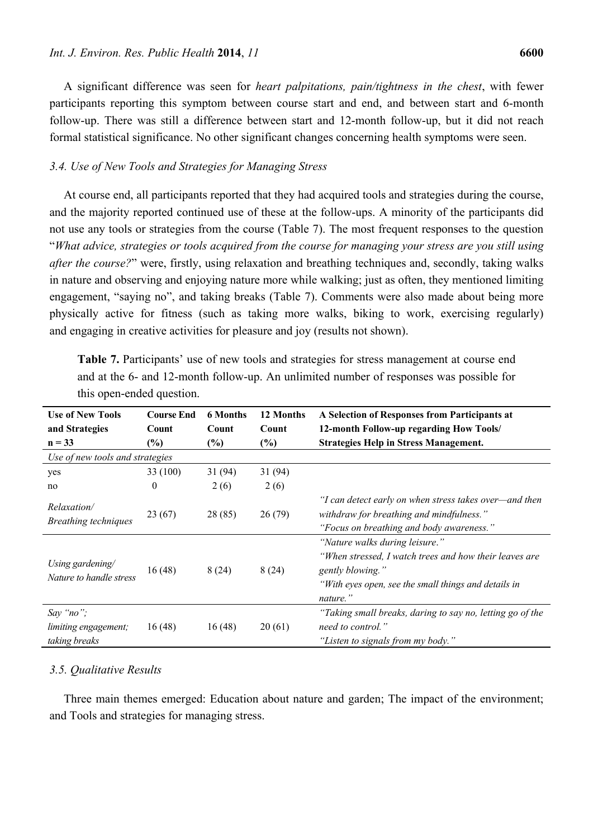A significant difference was seen for *heart palpitations, pain/tightness in the chest*, with fewer participants reporting this symptom between course start and end, and between start and 6-month follow-up. There was still a difference between start and 12-month follow-up, but it did not reach formal statistical significance. No other significant changes concerning health symptoms were seen.

#### *3.4. Use of New Tools and Strategies for Managing Stress*

At course end, all participants reported that they had acquired tools and strategies during the course, and the majority reported continued use of these at the follow-ups. A minority of the participants did not use any tools or strategies from the course (Table 7). The most frequent responses to the question "*What advice, strategies or tools acquired from the course for managing your stress are you still using after the course?*" were, firstly, using relaxation and breathing techniques and, secondly, taking walks in nature and observing and enjoying nature more while walking; just as often, they mentioned limiting engagement, "saying no", and taking breaks (Table 7). Comments were also made about being more physically active for fitness (such as taking more walks, biking to work, exercising regularly) and engaging in creative activities for pleasure and joy (results not shown).

**Table 7.** Participants' use of new tools and strategies for stress management at course end and at the 6- and 12-month follow-up. An unlimited number of responses was possible for this open-ended question.

| <b>Use of New Tools</b>                            | <b>Course End</b> | <b>6 Months</b> | 12 Months | A Selection of Responses from Participants at                                                                                                                                    |
|----------------------------------------------------|-------------------|-----------------|-----------|----------------------------------------------------------------------------------------------------------------------------------------------------------------------------------|
| and Strategies                                     | Count             | Count           | Count     | 12-month Follow-up regarding How Tools/                                                                                                                                          |
| $n = 33$                                           | $(\%)$            | $(\%)$          | $(\%)$    | <b>Strategies Help in Stress Management.</b>                                                                                                                                     |
| Use of new tools and strategies                    |                   |                 |           |                                                                                                                                                                                  |
| yes                                                | 33 (100)          | 31 (94)         | 31 (94)   |                                                                                                                                                                                  |
| no                                                 | $\theta$          | 2(6)            | 2(6)      |                                                                                                                                                                                  |
| Relaxation/<br><b>Breathing techniques</b>         | 23 (67)           | 28 (85)         | 26(79)    | "I can detect early on when stress takes over—and then<br>withdraw for breathing and mindfulness."<br>"Focus on breathing and body awareness."                                   |
| Using gardening/<br>Nature to handle stress        | 16(48)            | 8(24)           | 8(24)     | "Nature walks during leisure."<br>"When stressed. I watch trees and how their leaves are<br>gently blowing."<br>"With eyes open, see the small things and details in<br>nature." |
| Say "no";<br>limiting engagement;<br>taking breaks | 16(48)            | 16(48)          | 20(61)    | "Taking small breaks, daring to say no, letting go of the<br>need to control."<br>"Listen to signals from my body."                                                              |

# *3.5. Qualitative Results*

Three main themes emerged: Education about nature and garden; The impact of the environment; and Tools and strategies for managing stress.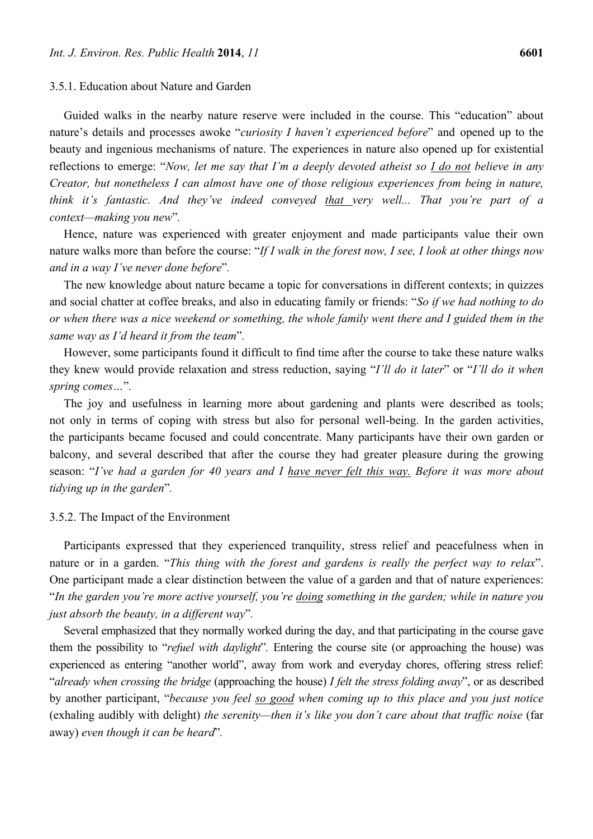#### 3.5.1. Education about Nature and Garden

Guided walks in the nearby nature reserve were included in the course. This "education" about nature's details and processes awoke "*curiosity I haven't experienced before*" and opened up to the beauty and ingenious mechanisms of nature. The experiences in nature also opened up for existential reflections to emerge: "*Now, let me say that I'm a deeply devoted atheist so I do not believe in any Creator, but nonetheless I can almost have one of those religious experiences from being in nature, think it's fantastic. And they've indeed conveyed that very well... That you're part of a context—making you new*"*.*

Hence, nature was experienced with greater enjoyment and made participants value their own nature walks more than before the course: "*If I walk in the forest now, I see, I look at other things now and in a way I've never done before*"*.* 

The new knowledge about nature became a topic for conversations in different contexts; in quizzes and social chatter at coffee breaks, and also in educating family or friends: "*So if we had nothing to do or when there was a nice weekend or something, the whole family went there and I guided them in the same way as I'd heard it from the team*"*.* 

However, some participants found it difficult to find time after the course to take these nature walks they knew would provide relaxation and stress reduction, saying "*I'll do it later*" or "*I'll do it when spring comes…*"*.*

The joy and usefulness in learning more about gardening and plants were described as tools; not only in terms of coping with stress but also for personal well-being. In the garden activities, the participants became focused and could concentrate. Many participants have their own garden or balcony, and several described that after the course they had greater pleasure during the growing season: "*I've had a garden for 40 years and I have never felt this way. Before it was more about tidying up in the garden*"*.* 

#### 3.5.2. The Impact of the Environment

Participants expressed that they experienced tranquility, stress relief and peacefulness when in nature or in a garden. "*This thing with the forest and gardens is really the perfect way to relax*". One participant made a clear distinction between the value of a garden and that of nature experiences: "*In the garden you're more active yourself, you're doing something in the garden; while in nature you just absorb the beauty, in a different way*"*.* 

Several emphasized that they normally worked during the day, and that participating in the course gave them the possibility to "*refuel with daylight*"*.* Entering the course site (or approaching the house) was experienced as entering "another world", away from work and everyday chores, offering stress relief: "*already when crossing the bridge* (approaching the house) *I felt the stress folding away*", or as described by another participant, "*because you feel so good when coming up to this place and you just notice*  (exhaling audibly with delight) *the serenity—then it's like you don't care about that traffic noise* (far away) *even though it can be heard*"*.*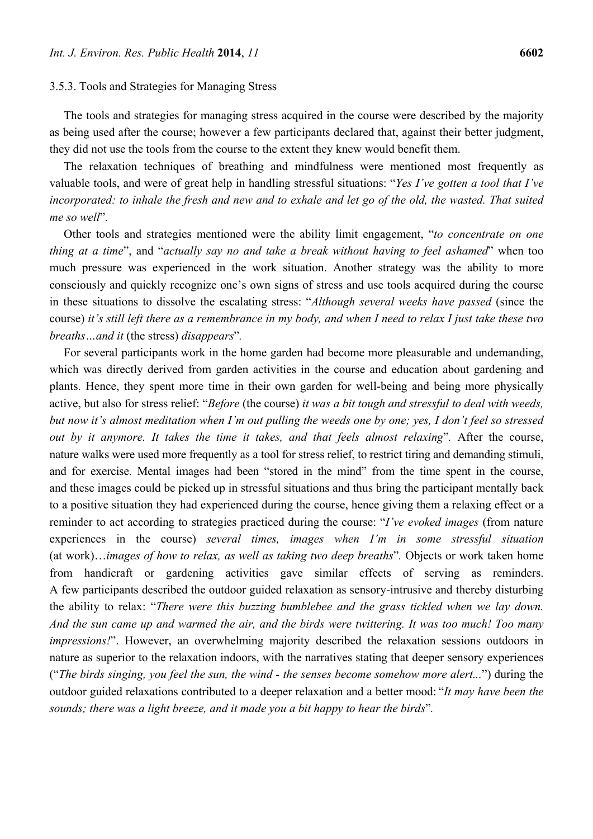## 3.5.3. Tools and Strategies for Managing Stress

The tools and strategies for managing stress acquired in the course were described by the majority as being used after the course; however a few participants declared that, against their better judgment, they did not use the tools from the course to the extent they knew would benefit them.

The relaxation techniques of breathing and mindfulness were mentioned most frequently as valuable tools, and were of great help in handling stressful situations: "*Yes I've gotten a tool that I've incorporated: to inhale the fresh and new and to exhale and let go of the old, the wasted. That suited me so well*"*.* 

Other tools and strategies mentioned were the ability limit engagement, "*to concentrate on one thing at a time*", and "*actually say no and take a break without having to feel ashamed*" when too much pressure was experienced in the work situation. Another strategy was the ability to more consciously and quickly recognize one's own signs of stress and use tools acquired during the course in these situations to dissolve the escalating stress: "*Although several weeks have passed* (since the course) *it's still left there as a remembrance in my body, and when I need to relax I just take these two breaths…and it* (the stress) *disappears*"*.* 

For several participants work in the home garden had become more pleasurable and undemanding, which was directly derived from garden activities in the course and education about gardening and plants. Hence, they spent more time in their own garden for well-being and being more physically active, but also for stress relief: "*Before* (the course) *it was a bit tough and stressful to deal with weeds, but now it's almost meditation when I'm out pulling the weeds one by one; yes, I don't feel so stressed out by it anymore. It takes the time it takes, and that feels almost relaxing*"*.* After the course, nature walks were used more frequently as a tool for stress relief, to restrict tiring and demanding stimuli, and for exercise. Mental images had been "stored in the mind" from the time spent in the course, and these images could be picked up in stressful situations and thus bring the participant mentally back to a positive situation they had experienced during the course, hence giving them a relaxing effect or a reminder to act according to strategies practiced during the course: "*I've evoked images* (from nature experiences in the course) *several times, images when I'm in some stressful situation*  (at work)…*images of how to relax, as well as taking two deep breaths*"*.* Objects or work taken home from handicraft or gardening activities gave similar effects of serving as reminders. A few participants described the outdoor guided relaxation as sensory-intrusive and thereby disturbing the ability to relax: "*There were this buzzing bumblebee and the grass tickled when we lay down. And the sun came up and warmed the air, and the birds were twittering. It was too much! Too many impressions!*". However, an overwhelming majority described the relaxation sessions outdoors in nature as superior to the relaxation indoors, with the narratives stating that deeper sensory experiences ("*The birds singing, you feel the sun, the wind - the senses become somehow more alert...*") during the outdoor guided relaxations contributed to a deeper relaxation and a better mood: "*It may have been the sounds; there was a light breeze, and it made you a bit happy to hear the birds*"*.*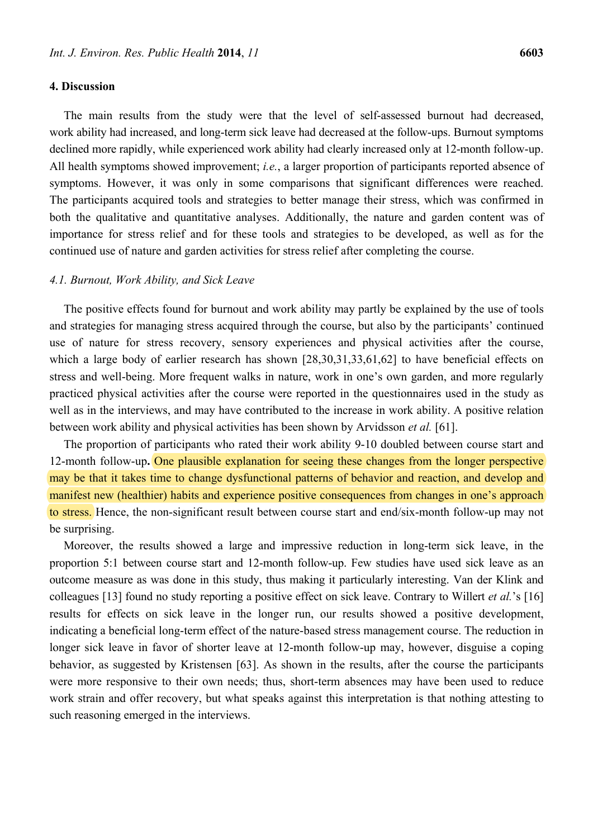# **4. Discussion**

The main results from the study were that the level of self-assessed burnout had decreased, work ability had increased, and long-term sick leave had decreased at the follow-ups. Burnout symptoms declined more rapidly, while experienced work ability had clearly increased only at 12-month follow-up. All health symptoms showed improvement; *i.e.*, a larger proportion of participants reported absence of symptoms. However, it was only in some comparisons that significant differences were reached. The participants acquired tools and strategies to better manage their stress, which was confirmed in both the qualitative and quantitative analyses. Additionally, the nature and garden content was of importance for stress relief and for these tools and strategies to be developed, as well as for the continued use of nature and garden activities for stress relief after completing the course.

#### *4.1. Burnout, Work Ability, and Sick Leave*

The positive effects found for burnout and work ability may partly be explained by the use of tools and strategies for managing stress acquired through the course, but also by the participants' continued use of nature for stress recovery, sensory experiences and physical activities after the course, which a large body of earlier research has shown [28,30,31,33,61,62] to have beneficial effects on stress and well-being. More frequent walks in nature, work in one's own garden, and more regularly practiced physical activities after the course were reported in the questionnaires used in the study as well as in the interviews, and may have contributed to the increase in work ability. A positive relation between work ability and physical activities has been shown by Arvidsson *et al.* [61].

The proportion of participants who rated their work ability 9-10 doubled between course start and 12-month follow-up**.** One plausible explanation for seeing these changes from the longer perspective may be that it takes time to change dysfunctional patterns of behavior and reaction, and develop and manifest new (healthier) habits and experience positive consequences from changes in one's approach to stress. Hence, the non-significant result between course start and end/six-month follow-up may not be surprising.

Moreover, the results showed a large and impressive reduction in long-term sick leave, in the proportion 5:1 between course start and 12-month follow-up. Few studies have used sick leave as an outcome measure as was done in this study, thus making it particularly interesting. Van der Klink and colleagues [13] found no study reporting a positive effect on sick leave. Contrary to Willert *et al.*'s [16] results for effects on sick leave in the longer run, our results showed a positive development, indicating a beneficial long-term effect of the nature-based stress management course. The reduction in longer sick leave in favor of shorter leave at 12-month follow-up may, however, disguise a coping behavior, as suggested by Kristensen [63]. As shown in the results, after the course the participants were more responsive to their own needs; thus, short-term absences may have been used to reduce work strain and offer recovery, but what speaks against this interpretation is that nothing attesting to such reasoning emerged in the interviews.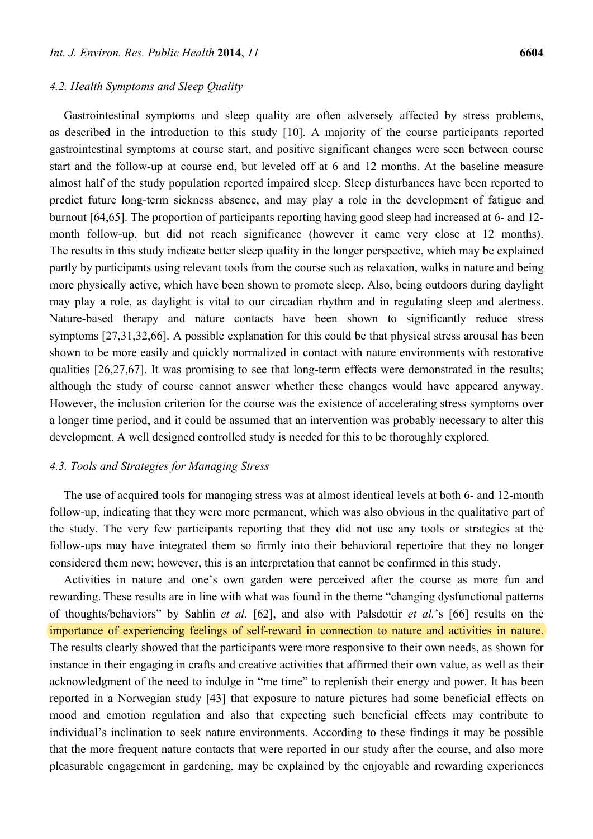#### *4.2. Health Symptoms and Sleep Quality*

Gastrointestinal symptoms and sleep quality are often adversely affected by stress problems, as described in the introduction to this study [10]. A majority of the course participants reported gastrointestinal symptoms at course start, and positive significant changes were seen between course start and the follow-up at course end, but leveled off at 6 and 12 months. At the baseline measure almost half of the study population reported impaired sleep. Sleep disturbances have been reported to predict future long-term sickness absence, and may play a role in the development of fatigue and burnout [64,65]. The proportion of participants reporting having good sleep had increased at 6- and 12 month follow-up, but did not reach significance (however it came very close at 12 months). The results in this study indicate better sleep quality in the longer perspective, which may be explained partly by participants using relevant tools from the course such as relaxation, walks in nature and being more physically active, which have been shown to promote sleep. Also, being outdoors during daylight may play a role, as daylight is vital to our circadian rhythm and in regulating sleep and alertness. Nature-based therapy and nature contacts have been shown to significantly reduce stress symptoms [27,31,32,66]. A possible explanation for this could be that physical stress arousal has been shown to be more easily and quickly normalized in contact with nature environments with restorative qualities [26,27,67]. It was promising to see that long-term effects were demonstrated in the results; although the study of course cannot answer whether these changes would have appeared anyway. However, the inclusion criterion for the course was the existence of accelerating stress symptoms over a longer time period, and it could be assumed that an intervention was probably necessary to alter this development. A well designed controlled study is needed for this to be thoroughly explored.

## *4.3. Tools and Strategies for Managing Stress*

The use of acquired tools for managing stress was at almost identical levels at both 6- and 12-month follow-up, indicating that they were more permanent, which was also obvious in the qualitative part of the study. The very few participants reporting that they did not use any tools or strategies at the follow-ups may have integrated them so firmly into their behavioral repertoire that they no longer considered them new; however, this is an interpretation that cannot be confirmed in this study.

Activities in nature and one's own garden were perceived after the course as more fun and rewarding. These results are in line with what was found in the theme "changing dysfunctional patterns of thoughts/behaviors" by Sahlin *et al.* [62], and also with Palsdottir *et al.*'s [66] results on the importance of experiencing feelings of self-reward in connection to nature and activities in nature. The results clearly showed that the participants were more responsive to their own needs, as shown for instance in their engaging in crafts and creative activities that affirmed their own value, as well as their acknowledgment of the need to indulge in "me time" to replenish their energy and power. It has been reported in a Norwegian study [43] that exposure to nature pictures had some beneficial effects on mood and emotion regulation and also that expecting such beneficial effects may contribute to individual's inclination to seek nature environments. According to these findings it may be possible that the more frequent nature contacts that were reported in our study after the course, and also more pleasurable engagement in gardening, may be explained by the enjoyable and rewarding experiences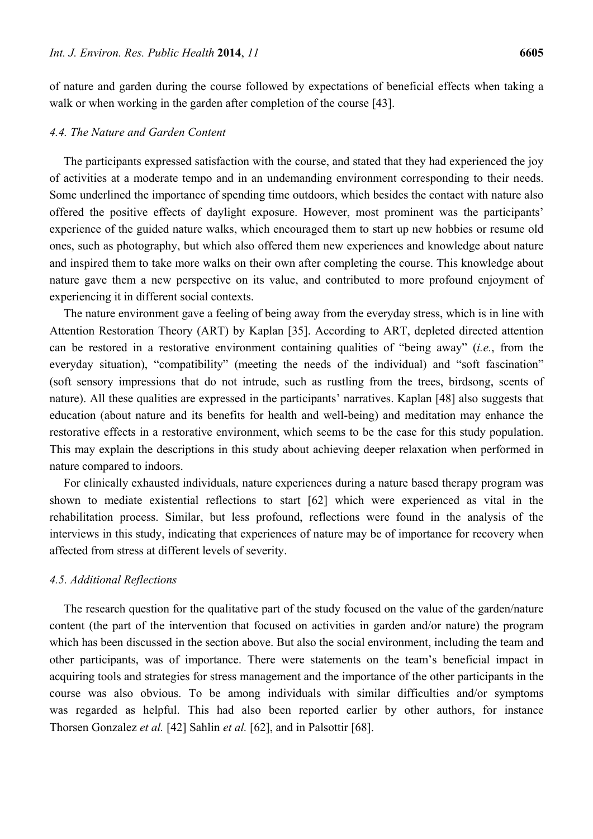of nature and garden during the course followed by expectations of beneficial effects when taking a walk or when working in the garden after completion of the course [43].

## *4.4. The Nature and Garden Content*

The participants expressed satisfaction with the course, and stated that they had experienced the joy of activities at a moderate tempo and in an undemanding environment corresponding to their needs. Some underlined the importance of spending time outdoors, which besides the contact with nature also offered the positive effects of daylight exposure. However, most prominent was the participants' experience of the guided nature walks, which encouraged them to start up new hobbies or resume old ones, such as photography, but which also offered them new experiences and knowledge about nature and inspired them to take more walks on their own after completing the course. This knowledge about nature gave them a new perspective on its value, and contributed to more profound enjoyment of experiencing it in different social contexts.

The nature environment gave a feeling of being away from the everyday stress, which is in line with Attention Restoration Theory (ART) by Kaplan [35]. According to ART, depleted directed attention can be restored in a restorative environment containing qualities of "being away" (*i.e.*, from the everyday situation), "compatibility" (meeting the needs of the individual) and "soft fascination" (soft sensory impressions that do not intrude, such as rustling from the trees, birdsong, scents of nature). All these qualities are expressed in the participants' narratives. Kaplan [48] also suggests that education (about nature and its benefits for health and well-being) and meditation may enhance the restorative effects in a restorative environment, which seems to be the case for this study population. This may explain the descriptions in this study about achieving deeper relaxation when performed in nature compared to indoors.

For clinically exhausted individuals, nature experiences during a nature based therapy program was shown to mediate existential reflections to start [62] which were experienced as vital in the rehabilitation process. Similar, but less profound, reflections were found in the analysis of the interviews in this study, indicating that experiences of nature may be of importance for recovery when affected from stress at different levels of severity.

#### *4.5. Additional Reflections*

The research question for the qualitative part of the study focused on the value of the garden/nature content (the part of the intervention that focused on activities in garden and/or nature) the program which has been discussed in the section above. But also the social environment, including the team and other participants, was of importance. There were statements on the team's beneficial impact in acquiring tools and strategies for stress management and the importance of the other participants in the course was also obvious. To be among individuals with similar difficulties and/or symptoms was regarded as helpful. This had also been reported earlier by other authors, for instance Thorsen Gonzalez *et al.* [42] Sahlin *et al.* [62], and in Palsottir [68].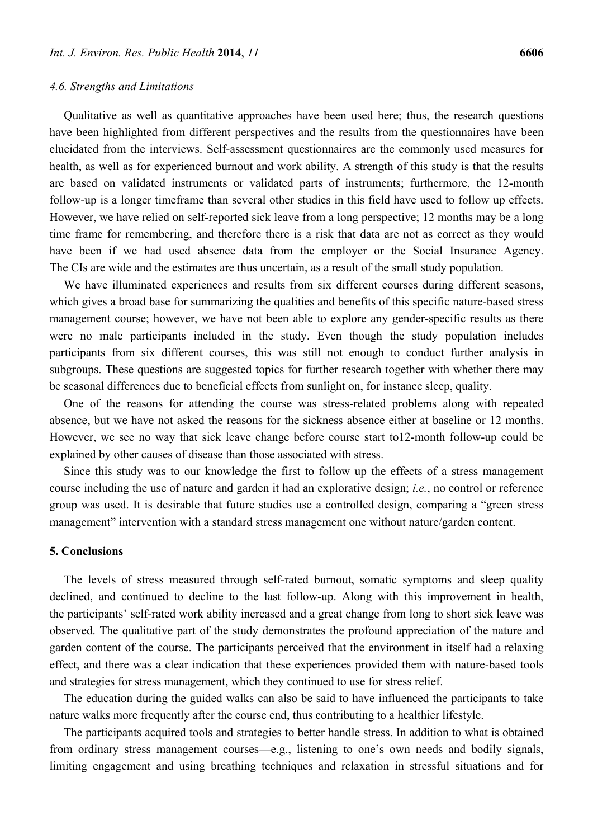# *4.6. Strengths and Limitations*

Qualitative as well as quantitative approaches have been used here; thus, the research questions have been highlighted from different perspectives and the results from the questionnaires have been elucidated from the interviews. Self-assessment questionnaires are the commonly used measures for health, as well as for experienced burnout and work ability. A strength of this study is that the results are based on validated instruments or validated parts of instruments; furthermore, the 12-month follow-up is a longer timeframe than several other studies in this field have used to follow up effects. However, we have relied on self-reported sick leave from a long perspective; 12 months may be a long time frame for remembering, and therefore there is a risk that data are not as correct as they would have been if we had used absence data from the employer or the Social Insurance Agency. The CIs are wide and the estimates are thus uncertain, as a result of the small study population.

We have illuminated experiences and results from six different courses during different seasons, which gives a broad base for summarizing the qualities and benefits of this specific nature-based stress management course; however, we have not been able to explore any gender-specific results as there were no male participants included in the study. Even though the study population includes participants from six different courses, this was still not enough to conduct further analysis in subgroups. These questions are suggested topics for further research together with whether there may be seasonal differences due to beneficial effects from sunlight on, for instance sleep, quality.

One of the reasons for attending the course was stress-related problems along with repeated absence, but we have not asked the reasons for the sickness absence either at baseline or 12 months. However, we see no way that sick leave change before course start to12-month follow-up could be explained by other causes of disease than those associated with stress.

Since this study was to our knowledge the first to follow up the effects of a stress management course including the use of nature and garden it had an explorative design; *i.e.*, no control or reference group was used. It is desirable that future studies use a controlled design, comparing a "green stress management" intervention with a standard stress management one without nature/garden content.

#### **5. Conclusions**

The levels of stress measured through self-rated burnout, somatic symptoms and sleep quality declined, and continued to decline to the last follow-up. Along with this improvement in health, the participants' self-rated work ability increased and a great change from long to short sick leave was observed. The qualitative part of the study demonstrates the profound appreciation of the nature and garden content of the course. The participants perceived that the environment in itself had a relaxing effect, and there was a clear indication that these experiences provided them with nature-based tools and strategies for stress management, which they continued to use for stress relief.

The education during the guided walks can also be said to have influenced the participants to take nature walks more frequently after the course end, thus contributing to a healthier lifestyle.

The participants acquired tools and strategies to better handle stress. In addition to what is obtained from ordinary stress management courses—e.g., listening to one's own needs and bodily signals, limiting engagement and using breathing techniques and relaxation in stressful situations and for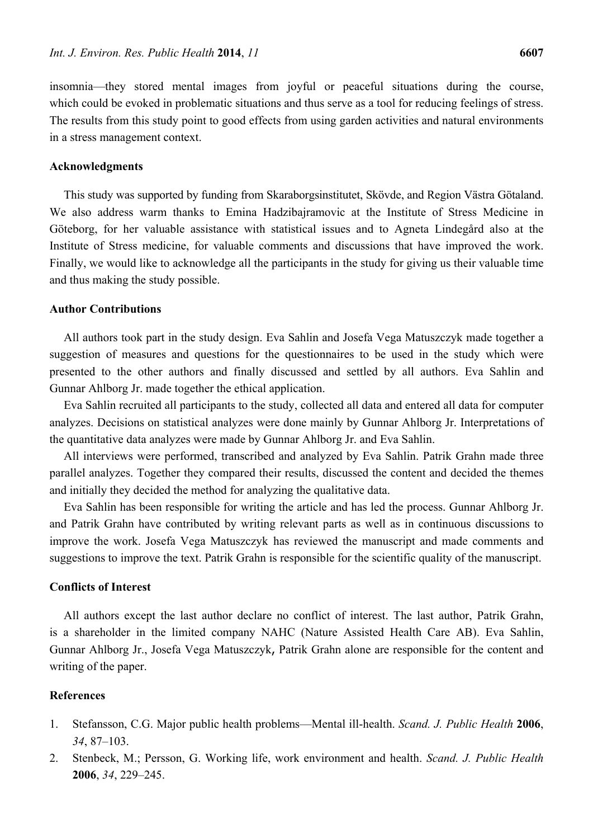insomnia—they stored mental images from joyful or peaceful situations during the course, which could be evoked in problematic situations and thus serve as a tool for reducing feelings of stress. The results from this study point to good effects from using garden activities and natural environments in a stress management context.

#### **Acknowledgments**

This study was supported by funding from Skaraborgsinstitutet, Skövde, and Region Västra Götaland. We also address warm thanks to Emina Hadzibajramovic at the Institute of Stress Medicine in Göteborg, for her valuable assistance with statistical issues and to Agneta Lindegård also at the Institute of Stress medicine, for valuable comments and discussions that have improved the work. Finally, we would like to acknowledge all the participants in the study for giving us their valuable time and thus making the study possible.

#### **Author Contributions**

All authors took part in the study design. Eva Sahlin and Josefa Vega Matuszczyk made together a suggestion of measures and questions for the questionnaires to be used in the study which were presented to the other authors and finally discussed and settled by all authors. Eva Sahlin and Gunnar Ahlborg Jr. made together the ethical application.

Eva Sahlin recruited all participants to the study, collected all data and entered all data for computer analyzes. Decisions on statistical analyzes were done mainly by Gunnar Ahlborg Jr. Interpretations of the quantitative data analyzes were made by Gunnar Ahlborg Jr. and Eva Sahlin.

All interviews were performed, transcribed and analyzed by Eva Sahlin. Patrik Grahn made three parallel analyzes. Together they compared their results, discussed the content and decided the themes and initially they decided the method for analyzing the qualitative data.

Eva Sahlin has been responsible for writing the article and has led the process. Gunnar Ahlborg Jr. and Patrik Grahn have contributed by writing relevant parts as well as in continuous discussions to improve the work. Josefa Vega Matuszczyk has reviewed the manuscript and made comments and suggestions to improve the text. Patrik Grahn is responsible for the scientific quality of the manuscript.

# **Conflicts of Interest**

All authors except the last author declare no conflict of interest. The last author, Patrik Grahn, is a shareholder in the limited company NAHC (Nature Assisted Health Care AB). Eva Sahlin, Gunnar Ahlborg Jr., Josefa Vega Matuszczyk, Patrik Grahn alone are responsible for the content and writing of the paper.

# **References**

- 1. Stefansson, C.G. Major public health problems—Mental ill-health. *Scand. J. Public Health* **2006**, *34*, 87–103.
- 2. Stenbeck, M.; Persson, G. Working life, work environment and health. *Scand. J. Public Health* **2006**, *34*, 229–245.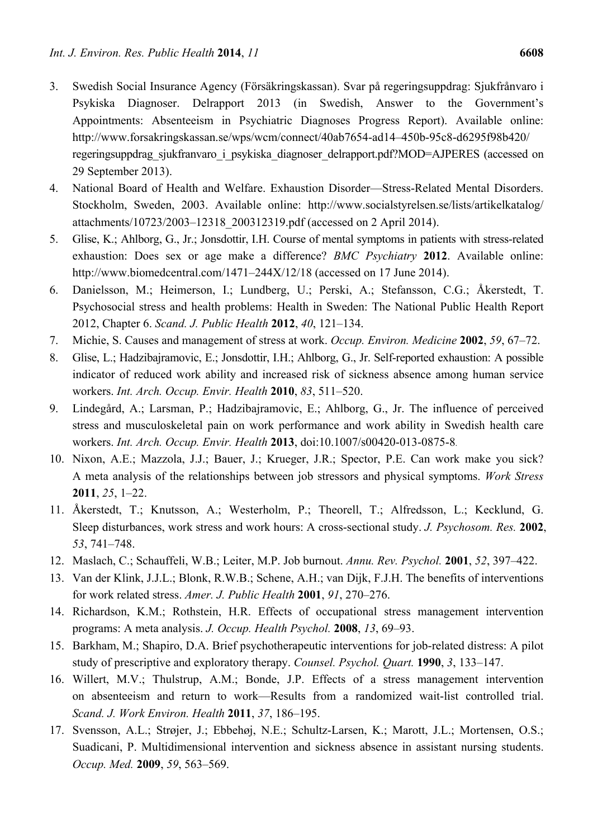- 3. Swedish Social Insurance Agency (Försäkringskassan). Svar på regeringsuppdrag: Sjukfrånvaro i Psykiska Diagnoser. Delrapport 2013 (in Swedish, Answer to the Government's Appointments: Absenteeism in Psychiatric Diagnoses Progress Report). Available online: http://www.forsakringskassan.se/wps/wcm/connect/40ab7654-ad14–450b-95c8-d6295f98b420/ regeringsuppdrag\_sjukfranvaro\_i\_psykiska\_diagnoser\_delrapport.pdf?MOD=AJPERES (accessed on 29 September 2013).
- 4. National Board of Health and Welfare. Exhaustion Disorder—Stress-Related Mental Disorders. Stockholm, Sweden, 2003. Available online: http://www.socialstyrelsen.se/lists/artikelkatalog/ attachments/10723/2003–12318\_200312319.pdf (accessed on 2 April 2014).
- 5. Glise, K.; Ahlborg, G., Jr.; Jonsdottir, I.H. Course of mental symptoms in patients with stress-related exhaustion: Does sex or age make a difference? *BMC Psychiatry* **2012**. Available online: http://www.biomedcentral.com/1471–244X/12/18 (accessed on 17 June 2014).
- 6. Danielsson, M.; Heimerson, I.; Lundberg, U.; Perski, A.; Stefansson, C.G.; Åkerstedt, T. Psychosocial stress and health problems: Health in Sweden: The National Public Health Report 2012, Chapter 6. *Scand. J. Public Health* **2012**, *40*, 121–134.
- 7. Michie, S. Causes and management of stress at work. *Occup. Environ. Medicine* **2002**, *59*, 67–72.
- 8. Glise, L.; Hadzibajramovic, E.; Jonsdottir, I.H.; Ahlborg, G., Jr. Self-reported exhaustion: A possible indicator of reduced work ability and increased risk of sickness absence among human service workers. *Int. Arch. Occup. Envir. Health* **2010**, *83*, 511–520.
- 9. Lindegård, A.; Larsman, P.; Hadzibajramovic, E.; Ahlborg, G., Jr. The influence of perceived stress and musculoskeletal pain on work performance and work ability in Swedish health care workers. *Int. Arch. Occup. Envir. Health* **2013**, doi:10.1007/s00420-013-0875-8.
- 10. Nixon, A.E.; Mazzola, J.J.; Bauer, J.; Krueger, J.R.; Spector, P.E. Can work make you sick? A meta analysis of the relationships between job stressors and physical symptoms. *Work Stress* **2011**, *25*, 1–22.
- 11. Åkerstedt, T.; Knutsson, A.; Westerholm, P.; Theorell, T.; Alfredsson, L.; Kecklund, G. Sleep disturbances, work stress and work hours: A cross-sectional study. *J. Psychosom. Res.* **2002**, *53*, 741–748.
- 12. Maslach, C.; Schauffeli, W.B.; Leiter, M.P. Job burnout. *Annu. Rev. Psychol.* **2001**, *52*, 397–422.
- 13. Van der Klink, J.J.L.; Blonk, R.W.B.; Schene, A.H.; van Dijk, F.J.H. The benefits of interventions for work related stress. *Amer. J. Public Health* **2001**, *91*, 270–276.
- 14. Richardson, K.M.; Rothstein, H.R. Effects of occupational stress management intervention programs: A meta analysis. *J. Occup. Health Psychol.* **2008**, *13*, 69–93.
- 15. Barkham, M.; Shapiro, D.A. Brief psychotherapeutic interventions for job-related distress: A pilot study of prescriptive and exploratory therapy. *Counsel. Psychol. Quart.* **1990**, *3*, 133–147.
- 16. Willert, M.V.; Thulstrup, A.M.; Bonde, J.P. Effects of a stress management intervention on absenteeism and return to work—Results from a randomized wait-list controlled trial. *Scand. J. Work Environ. Health* **2011**, *37*, 186–195.
- 17. Svensson, A.L.; Strøjer, J.; Ebbehøj, N.E.; Schultz-Larsen, K.; Marott, J.L.; Mortensen, O.S.; Suadicani, P. Multidimensional intervention and sickness absence in assistant nursing students. *Occup. Med.* **2009**, *59*, 563–569.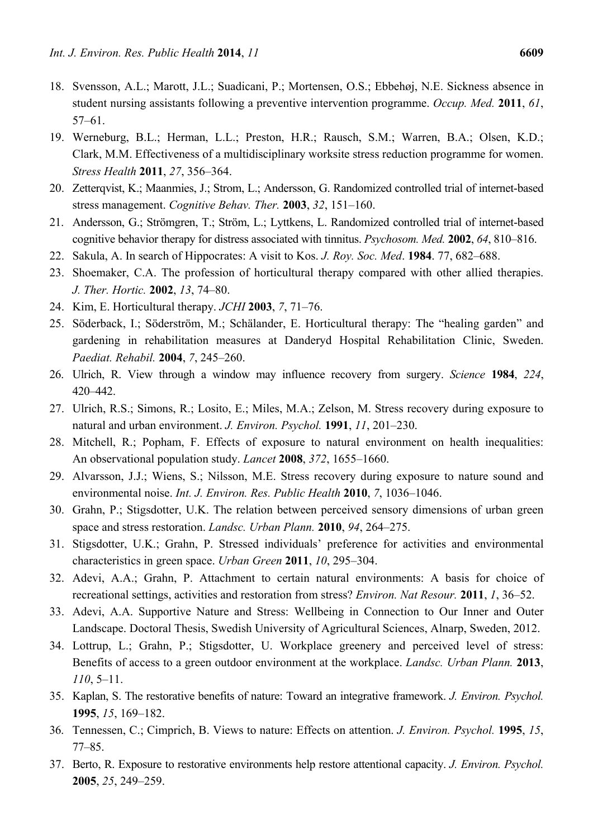- 18. Svensson, A.L.; Marott, J.L.; Suadicani, P.; Mortensen, O.S.; Ebbehøj, N.E. Sickness absence in student nursing assistants following a preventive intervention programme. *Occup. Med.* **2011**, *61*, 57–61.
- 19. Werneburg, B.L.; Herman, L.L.; Preston, H.R.; Rausch, S.M.; Warren, B.A.; Olsen, K.D.; Clark, M.M. Effectiveness of a multidisciplinary worksite stress reduction programme for women. *Stress Health* **2011**, *27*, 356–364.
- 20. Zetterqvist, K.; Maanmies, J.; Strom, L.; Andersson, G. Randomized controlled trial of internet-based stress management. *Cognitive Behav. Ther.* **2003**, *32*, 151–160.
- 21. Andersson, G.; Strömgren, T.; Ström, L.; Lyttkens, L. Randomized controlled trial of internet-based cognitive behavior therapy for distress associated with tinnitus. *Psychosom. Med.* **2002**, *64*, 810–816.
- 22. Sakula, A. In search of Hippocrates: A visit to Kos. *J. Roy. Soc. Med*. **1984**. 77, 682–688.
- 23. Shoemaker, C.A. The profession of horticultural therapy compared with other allied therapies. *J. Ther. Hortic.* **2002**, *13*, 74–80.
- 24. Kim, E. Horticultural therapy. *JCHI* **2003**, *7*, 71–76.
- 25. Söderback, I.; Söderström, M.; Schälander, E. Horticultural therapy: The "healing garden" and gardening in rehabilitation measures at Danderyd Hospital Rehabilitation Clinic, Sweden. *Paediat. Rehabil.* **2004**, *7*, 245–260.
- 26. Ulrich, R. View through a window may influence recovery from surgery. *Science* **1984**, *224*, 420–442.
- 27. Ulrich, R.S.; Simons, R.; Losito, E.; Miles, M.A.; Zelson, M. Stress recovery during exposure to natural and urban environment. *J. Environ. Psychol.* **1991**, *11*, 201–230.
- 28. Mitchell, R.; Popham, F. Effects of exposure to natural environment on health inequalities: An observational population study. *Lancet* **2008**, *372*, 1655–1660.
- 29. Alvarsson, J.J.; Wiens, S.; Nilsson, M.E. Stress recovery during exposure to nature sound and environmental noise. *Int. J. Environ. Res. Public Health* **2010**, *7*, 1036–1046.
- 30. Grahn, P.; Stigsdotter, U.K. The relation between perceived sensory dimensions of urban green space and stress restoration. *Landsc. Urban Plann.* **2010**, *94*, 264–275.
- 31. Stigsdotter, U.K.; Grahn, P. Stressed individuals' preference for activities and environmental characteristics in green space. *Urban Green* **2011**, *10*, 295–304.
- 32. Adevi, A.A.; Grahn, P. Attachment to certain natural environments: A basis for choice of recreational settings, activities and restoration from stress? *Environ. Nat Resour.* **2011**, *1*, 36–52.
- 33. Adevi, A.A. Supportive Nature and Stress: Wellbeing in Connection to Our Inner and Outer Landscape. Doctoral Thesis, Swedish University of Agricultural Sciences, Alnarp, Sweden, 2012.
- 34. Lottrup, L.; Grahn, P.; Stigsdotter, U. Workplace greenery and perceived level of stress: Benefits of access to a green outdoor environment at the workplace. *Landsc. Urban Plann.* **2013**, *110*, 5–11.
- 35. Kaplan, S. The restorative benefits of nature: Toward an integrative framework. *J. Environ. Psychol.* **1995**, *15*, 169–182.
- 36. Tennessen, C.; Cimprich, B. Views to nature: Effects on attention. *J. Environ. Psychol.* **1995**, *15*, 77–85.
- 37. Berto, R. Exposure to restorative environments help restore attentional capacity. *J. Environ. Psychol.*  **2005**, *25*, 249–259.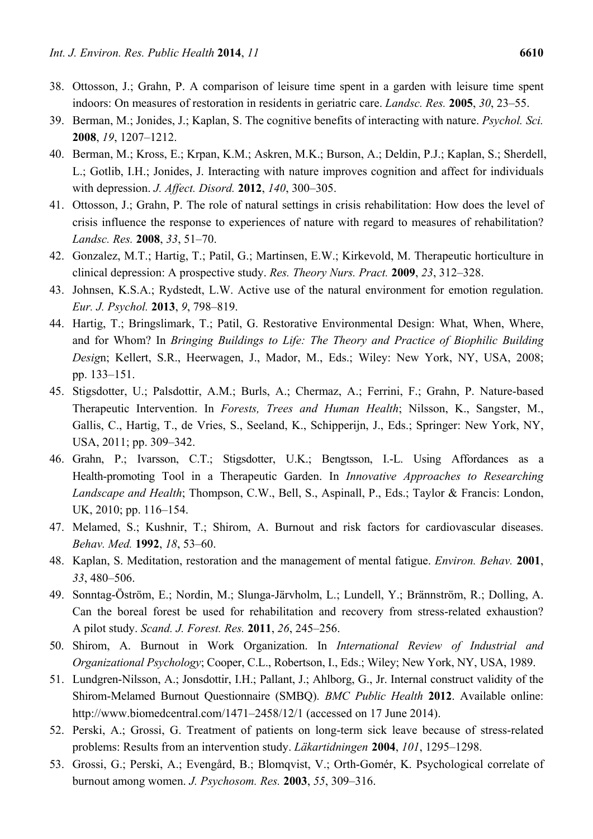- 38. Ottosson, J.; Grahn, P. A comparison of leisure time spent in a garden with leisure time spent indoors: On measures of restoration in residents in geriatric care. *Landsc. Res.* **2005**, *30*, 23–55.
- 39. Berman, M.; Jonides, J.; Kaplan, S. The cognitive benefits of interacting with nature. *Psychol. Sci.*  **2008**, *19*, 1207–1212.
- 40. Berman, M.; Kross, E.; Krpan, K.M.; Askren, M.K.; Burson, A.; Deldin, P.J.; Kaplan, S.; Sherdell, L.; Gotlib, I.H.; Jonides, J. Interacting with nature improves cognition and affect for individuals with depression. *J. Affect. Disord.* **2012**, *140*, 300–305.
- 41. Ottosson, J.; Grahn, P. The role of natural settings in crisis rehabilitation: How does the level of crisis influence the response to experiences of nature with regard to measures of rehabilitation? *Landsc. Res.* **2008**, *33*, 51–70.
- 42. Gonzalez, M.T.; Hartig, T.; Patil, G.; Martinsen, E.W.; Kirkevold, M. Therapeutic horticulture in clinical depression: A prospective study. *Res. Theory Nurs. Pract.* **2009**, *23*, 312–328.
- 43. Johnsen, K.S.A.; Rydstedt, L.W. Active use of the natural environment for emotion regulation. *Eur. J. Psychol.* **2013**, *9*, 798–819.
- 44. Hartig, T.; Bringslimark, T.; Patil, G. Restorative Environmental Design: What, When, Where, and for Whom? In *Bringing Buildings to Life: The Theory and Practice of Biophilic Building Desig*n; Kellert, S.R., Heerwagen, J., Mador, M., Eds.; Wiley: New York, NY, USA, 2008; pp. 133–151.
- 45. Stigsdotter, U.; Palsdottir, A.M.; Burls, A.; Chermaz, A.; Ferrini, F.; Grahn, P. Nature-based Therapeutic Intervention. In *Forests, Trees and Human Health*; Nilsson, K., Sangster, M., Gallis, C., Hartig, T., de Vries, S., Seeland, K., Schipperijn, J., Eds.; Springer: New York, NY, USA, 2011; pp. 309–342.
- 46. Grahn, P.; Ivarsson, C.T.; Stigsdotter, U.K.; Bengtsson, I.-L. Using Affordances as a Health-promoting Tool in a Therapeutic Garden. In *Innovative Approaches to Researching Landscape and Health*; Thompson, C.W., Bell, S., Aspinall, P., Eds.; Taylor & Francis: London, UK, 2010; pp. 116–154.
- 47. Melamed, S.; Kushnir, T.; Shirom, A. Burnout and risk factors for cardiovascular diseases. *Behav. Med.* **1992**, *18*, 53–60.
- 48. Kaplan, S. Meditation, restoration and the management of mental fatigue. *Environ. Behav.* **2001**, *33*, 480–506.
- 49. Sonntag-Öström, E.; Nordin, M.; Slunga-Järvholm, L.; Lundell, Y.; Brännström, R.; Dolling, A. Can the boreal forest be used for rehabilitation and recovery from stress-related exhaustion? A pilot study. *Scand. J. Forest. Res.* **2011**, *26*, 245–256.
- 50. Shirom, A. Burnout in Work Organization. In *International Review of Industrial and Organizational Psychology*; Cooper, C.L., Robertson, I., Eds.; Wiley; New York, NY, USA, 1989.
- 51. Lundgren-Nilsson, A.; Jonsdottir, I.H.; Pallant, J.; Ahlborg, G., Jr. Internal construct validity of the Shirom-Melamed Burnout Questionnaire (SMBQ). *BMC Public Health* **2012**. Available online: http://www.biomedcentral.com/1471–2458/12/1 (accessed on 17 June 2014).
- 52. Perski, A.; Grossi, G. Treatment of patients on long-term sick leave because of stress-related problems: Results from an intervention study. *Läkartidningen* **2004**, *101*, 1295–1298.
- 53. Grossi, G.; Perski, A.; Evengård, B.; Blomqvist, V.; Orth-Gomér, K. Psychological correlate of burnout among women. *J. Psychosom. Res.* **2003**, *55*, 309–316.